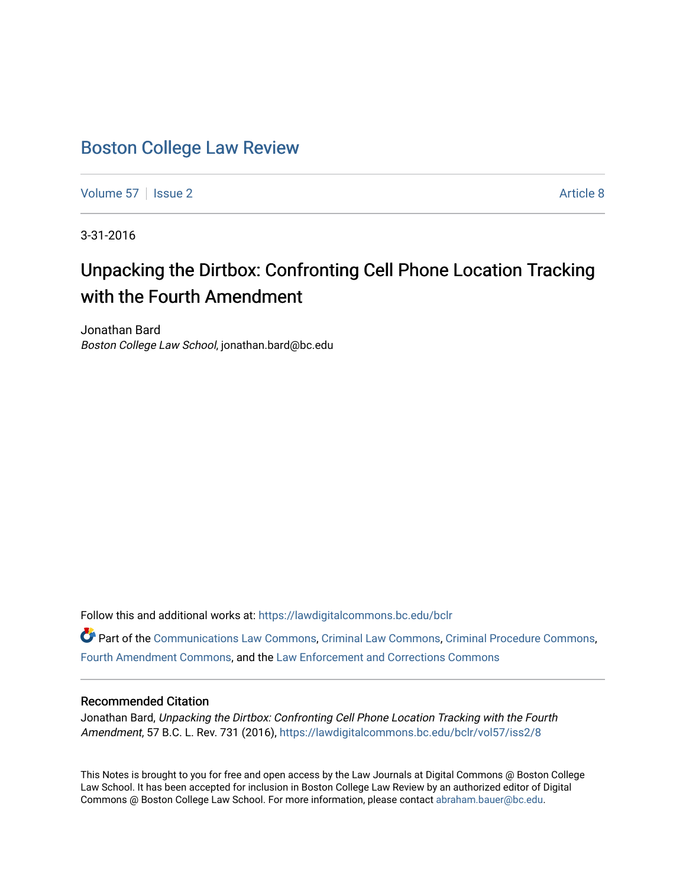# [Boston College Law Review](https://lawdigitalcommons.bc.edu/bclr)

[Volume 57](https://lawdigitalcommons.bc.edu/bclr/vol57) | [Issue 2](https://lawdigitalcommons.bc.edu/bclr/vol57/iss2) Article 8

3-31-2016

# Unpacking the Dirtbox: Confronting Cell Phone Location Tracking with the Fourth Amendment

Jonathan Bard Boston College Law School, jonathan.bard@bc.edu

Follow this and additional works at: [https://lawdigitalcommons.bc.edu/bclr](https://lawdigitalcommons.bc.edu/bclr?utm_source=lawdigitalcommons.bc.edu%2Fbclr%2Fvol57%2Fiss2%2F8&utm_medium=PDF&utm_campaign=PDFCoverPages) 

Part of the [Communications Law Commons,](http://network.bepress.com/hgg/discipline/587?utm_source=lawdigitalcommons.bc.edu%2Fbclr%2Fvol57%2Fiss2%2F8&utm_medium=PDF&utm_campaign=PDFCoverPages) [Criminal Law Commons](http://network.bepress.com/hgg/discipline/912?utm_source=lawdigitalcommons.bc.edu%2Fbclr%2Fvol57%2Fiss2%2F8&utm_medium=PDF&utm_campaign=PDFCoverPages), [Criminal Procedure Commons](http://network.bepress.com/hgg/discipline/1073?utm_source=lawdigitalcommons.bc.edu%2Fbclr%2Fvol57%2Fiss2%2F8&utm_medium=PDF&utm_campaign=PDFCoverPages), [Fourth Amendment Commons,](http://network.bepress.com/hgg/discipline/1180?utm_source=lawdigitalcommons.bc.edu%2Fbclr%2Fvol57%2Fiss2%2F8&utm_medium=PDF&utm_campaign=PDFCoverPages) and the [Law Enforcement and Corrections Commons](http://network.bepress.com/hgg/discipline/854?utm_source=lawdigitalcommons.bc.edu%2Fbclr%2Fvol57%2Fiss2%2F8&utm_medium=PDF&utm_campaign=PDFCoverPages)

## Recommended Citation

Jonathan Bard, Unpacking the Dirtbox: Confronting Cell Phone Location Tracking with the Fourth Amendment, 57 B.C. L. Rev. 731 (2016), [https://lawdigitalcommons.bc.edu/bclr/vol57/iss2/8](https://lawdigitalcommons.bc.edu/bclr/vol57/iss2/8?utm_source=lawdigitalcommons.bc.edu%2Fbclr%2Fvol57%2Fiss2%2F8&utm_medium=PDF&utm_campaign=PDFCoverPages)

This Notes is brought to you for free and open access by the Law Journals at Digital Commons @ Boston College Law School. It has been accepted for inclusion in Boston College Law Review by an authorized editor of Digital Commons @ Boston College Law School. For more information, please contact [abraham.bauer@bc.edu.](mailto:abraham.bauer@bc.edu)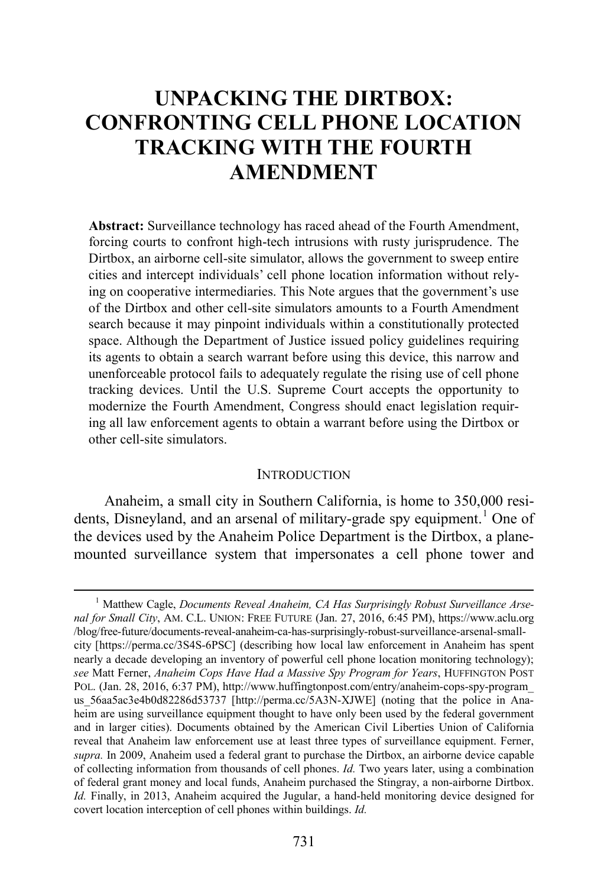# **UNPACKING THE DIRTBOX: CONFRONTING CELL PHONE LOCATION TRACKING WITH THE FOURTH AMENDMENT**

**Abstract:** Surveillance technology has raced ahead of the Fourth Amendment, forcing courts to confront high-tech intrusions with rusty jurisprudence. The Dirtbox, an airborne cell-site simulator, allows the government to sweep entire cities and intercept individuals' cell phone location information without relying on cooperative intermediaries. This Note argues that the government's use of the Dirtbox and other cell-site simulators amounts to a Fourth Amendment search because it may pinpoint individuals within a constitutionally protected space. Although the Department of Justice issued policy guidelines requiring its agents to obtain a search warrant before using this device, this narrow and unenforceable protocol fails to adequately regulate the rising use of cell phone tracking devices. Until the U.S. Supreme Court accepts the opportunity to modernize the Fourth Amendment, Congress should enact legislation requiring all law enforcement agents to obtain a warrant before using the Dirtbox or other cell-site simulators.

#### <span id="page-1-1"></span>**INTRODUCTION**

Anaheim, a small city in Southern California, is home to 350,000 resi-dents, Disneyland, and an arsenal of military-grade spy equipment.<sup>[1](#page-1-0)</sup> One of the devices used by the Anaheim Police Department is the Dirtbox, a planemounted surveillance system that impersonates a cell phone tower and

<span id="page-1-0"></span><sup>&</sup>lt;sup>1</sup> Matthew Cagle, *Documents Reveal Anaheim, CA Has Surprisingly Robust Surveillance Arsenal for Small City*, AM. C.L. UNION: FREE FUTURE (Jan. 27, 2016, 6:45 PM), https://www.aclu.org /blog/free-future/documents-reveal-anaheim-ca-has-surprisingly-robust-surveillance-arsenal-smallcity [https://perma.cc/3S4S-6PSC] (describing how local law enforcement in Anaheim has spent nearly a decade developing an inventory of powerful cell phone location monitoring technology); *see* Matt Ferner, *Anaheim Cops Have Had a Massive Spy Program for Years*, HUFFINGTON POST POL. (Jan. 28, 2016, 6:37 PM), http://www.huffingtonpost.com/entry/anaheim-cops-spy-program\_ us 56aa5ac3e4b0d82286d53737 [http://perma.cc/5A3N-XJWE] (noting that the police in Anaheim are using surveillance equipment thought to have only been used by the federal government and in larger cities). Documents obtained by the American Civil Liberties Union of California reveal that Anaheim law enforcement use at least three types of surveillance equipment. Ferner, *supra.* In 2009, Anaheim used a federal grant to purchase the Dirtbox, an airborne device capable of collecting information from thousands of cell phones. *Id.* Two years later, using a combination of federal grant money and local funds, Anaheim purchased the Stingray, a non-airborne Dirtbox. *Id.* Finally, in 2013, Anaheim acquired the Jugular, a hand-held monitoring device designed for covert location interception of cell phones within buildings. *Id.*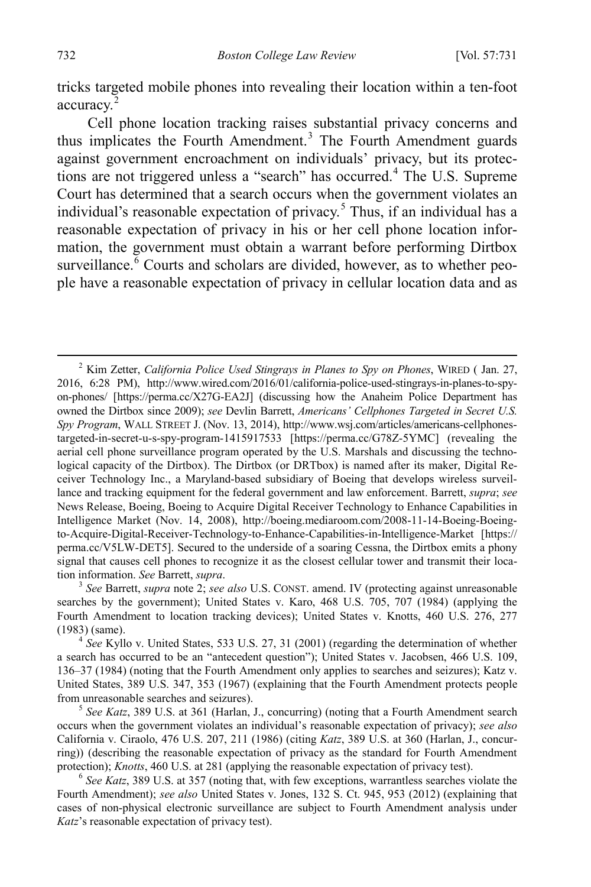<span id="page-2-0"></span>tricks targeted mobile phones into revealing their location within a ten-foot accuracy.<sup>[2](#page-2-1)</sup>

Cell phone location tracking raises substantial privacy concerns and thus implicates the Fourth Amendment. [3](#page-2-2) The Fourth Amendment guards against government encroachment on individuals' privacy, but its protec-tions are not triggered unless a "search" has occurred.<sup>[4](#page-2-3)</sup> The U.S. Supreme Court has determined that a search occurs when the government violates an individual's reasonable expectation of privacy.<sup>[5](#page-2-4)</sup> Thus, if an individual has a reasonable expectation of privacy in his or her cell phone location information, the government must obtain a warrant before performing Dirtbox surveillance.<sup>[6](#page-2-5)</sup> Courts and scholars are divided, however, as to whether people have a reasonable expectation of privacy in cellular location data and as

<span id="page-2-2"></span>searches by the government); United States v. Karo, 468 U.S. 705, 707 (1984) (applying the Fourth Amendment to location tracking devices); United States v. Knotts, 460 U.S. 276, 277

<span id="page-2-3"></span>(1983) (same). <sup>4</sup> *See* Kyllo v. United States, 533 U.S. 27, 31 (2001) (regarding the determination of whether a search has occurred to be an "antecedent question"); United States v. Jacobsen, 466 U.S. 109, 136–37 (1984) (noting that the Fourth Amendment only applies to searches and seizures); Katz v. United States, 389 U.S. 347, 353 (1967) (explaining that the Fourth Amendment protects people from unreasonable searches and seizures). <sup>5</sup> *See Katz*, 389 U.S. at 361 (Harlan, J., concurring) (noting that a Fourth Amendment search

<span id="page-2-4"></span>occurs when the government violates an individual's reasonable expectation of privacy); *see also* California v. Ciraolo, 476 U.S. 207, 211 (1986) (citing *Katz*, 389 U.S. at 360 (Harlan, J., concurring)) (describing the reasonable expectation of privacy as the standard for Fourth Amendment protection); *Knotts*, 460 U.S. at 281 (applying the reasonable expectation of privacy test). <sup>6</sup> *See Katz*, 389 U.S. at 357 (noting that, with few exceptions, warrantless searches violate the

<span id="page-2-5"></span>Fourth Amendment); *see also* United States v. Jones, 132 S. Ct. 945, 953 (2012) (explaining that cases of non-physical electronic surveillance are subject to Fourth Amendment analysis under *Katz*'s reasonable expectation of privacy test).

<span id="page-2-1"></span> <sup>2</sup> Kim Zetter, *California Police Used Stingrays in Planes to Spy on Phones*, WIRED ( Jan. 27, 2016, 6:28 PM), http://www.wired.com/2016/01/california-police-used-stingrays-in-planes-to-spyon-phones/ [https://perma.cc/X27G-EA2J] (discussing how the Anaheim Police Department has owned the Dirtbox since 2009); *see* Devlin Barrett, *Americans' Cellphones Targeted in Secret U.S. Spy Program*, WALL STREET J. (Nov. 13, 2014), http://www.wsj.com/articles/americans-cellphonestargeted-in-secret-u-s-spy-program-1415917533 [https://perma.cc/G78Z-5YMC] (revealing the aerial cell phone surveillance program operated by the U.S. Marshals and discussing the technological capacity of the Dirtbox). The Dirtbox (or DRTbox) is named after its maker, Digital Receiver Technology Inc., a Maryland-based subsidiary of Boeing that develops wireless surveillance and tracking equipment for the federal government and law enforcement. Barrett, *supra*; *see* News Release, Boeing, Boeing to Acquire Digital Receiver Technology to Enhance Capabilities in Intelligence Market (Nov. 14, 2008), http://boeing.mediaroom.com/2008-11-14-Boeing-Boeingto-Acquire-Digital-Receiver-Technology-to-Enhance-Capabilities-in-Intelligence-Market [https:// perma.cc/V5LW-DET5]. Secured to the underside of a soaring Cessna, the Dirtbox emits a phony signal that causes cell phones to recognize it as the closest cellular tower and transmit their location information. *See* Barrett, *supra*. 3 *See* Barrett, *supra* note [2;](#page-2-0) *see also* U.S. CONST. amend. IV (protecting against unreasonable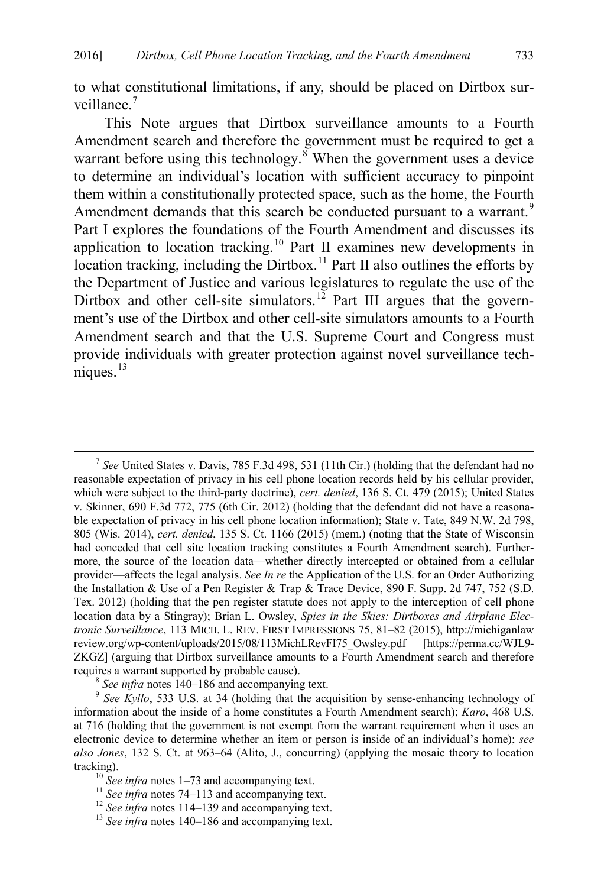<span id="page-3-7"></span>to what constitutional limitations, if any, should be placed on Dirtbox sur-veillance<sup>[7](#page-3-0)</sup>

This Note argues that Dirtbox surveillance amounts to a Fourth Amendment search and therefore the government must be required to get a warrant before using this technology.<sup>[8](#page-3-1)</sup> When the government uses a device to determine an individual's location with sufficient accuracy to pinpoint them within a constitutionally protected space, such as the home, the Fourth Amendment demands that this search be conducted pursuant to a warrant.<sup>[9](#page-3-2)</sup> Part I explores the foundations of the Fourth Amendment and discusses its application to location tracking.[10](#page-3-3) Part II examines new developments in location tracking, including the Dirtbox.<sup>[11](#page-3-4)</sup> Part II also outlines the efforts by the Department of Justice and various legislatures to regulate the use of the Dirtbox and other cell-site simulators.<sup>[12](#page-3-5)</sup> Part III argues that the government's use of the Dirtbox and other cell-site simulators amounts to a Fourth Amendment search and that the U.S. Supreme Court and Congress must provide individuals with greater protection against novel surveillance tech $n$ iques.<sup>[13](#page-3-6)</sup>

<span id="page-3-0"></span> <sup>7</sup> *See* United States v. Davis, 785 F.3d 498, 531 (11th Cir.) (holding that the defendant had no reasonable expectation of privacy in his cell phone location records held by his cellular provider, which were subject to the third-party doctrine), *cert. denied*, 136 S. Ct. 479 (2015); United States v. Skinner, 690 F.3d 772, 775 (6th Cir. 2012) (holding that the defendant did not have a reasonable expectation of privacy in his cell phone location information); State v. Tate, 849 N.W. 2d 798, 805 (Wis. 2014), *cert. denied*, 135 S. Ct. 1166 (2015) (mem.) (noting that the State of Wisconsin had conceded that cell site location tracking constitutes a Fourth Amendment search). Furthermore, the source of the location data—whether directly intercepted or obtained from a cellular provider—affects the legal analysis. *See In re* the Application of the U.S. for an Order Authorizing the Installation & Use of a Pen Register & Trap & Trace Device, 890 F. Supp. 2d 747, 752 (S.D. Tex. 2012) (holding that the pen register statute does not apply to the interception of cell phone location data by a Stingray); Brian L. Owsley, *Spies in the Skies: Dirtboxes and Airplane Electronic Surveillance*, 113 MICH. L. REV. FIRST IMPRESSIONS 75, 81–82 (2015), http://michiganlaw review.org/wp-content/uploads/2015/08/113MichLRevFI75\_Owsley.pdf [https://perma.cc/WJL9- ZKGZ] (arguing that Dirtbox surveillance amounts to a Fourth Amendment search and therefore requires a warrant supported by probable cause).<br><sup>8</sup> *See infra* note[s 140](#page-26-0)[–186](#page-33-0) and accompanying text.<br><sup>9</sup> *See Kyllo*, 533 U.S. at 34 (holding that the acquisition by sense-enhancing technology of

<span id="page-3-2"></span><span id="page-3-1"></span>information about the inside of a home constitutes a Fourth Amendment search); *Karo*, 468 U.S. at 716 (holding that the government is not exempt from the warrant requirement when it uses an electronic device to determine whether an item or person is inside of an individual's home); *see also Jones*, 132 S. Ct. at 963–64 (Alito, J., concurring) (applying the mosaic theory to location tracking).<br><sup>10</sup> See infra note[s 1](#page-1-1)[–73](#page-13-0) and accompanying text.<br><sup>11</sup> See infra note[s 74–](#page-13-1)[113](#page-21-0) and accompanying text.<br><sup>12</sup> See infra note[s 114](#page-22-0)[–139](#page-26-1) and accompanying text.<br><sup>13</sup> See infra note[s 140](#page-26-0)[–186](#page-33-0) and accompanying text.

<span id="page-3-4"></span><span id="page-3-3"></span>

<span id="page-3-6"></span><span id="page-3-5"></span>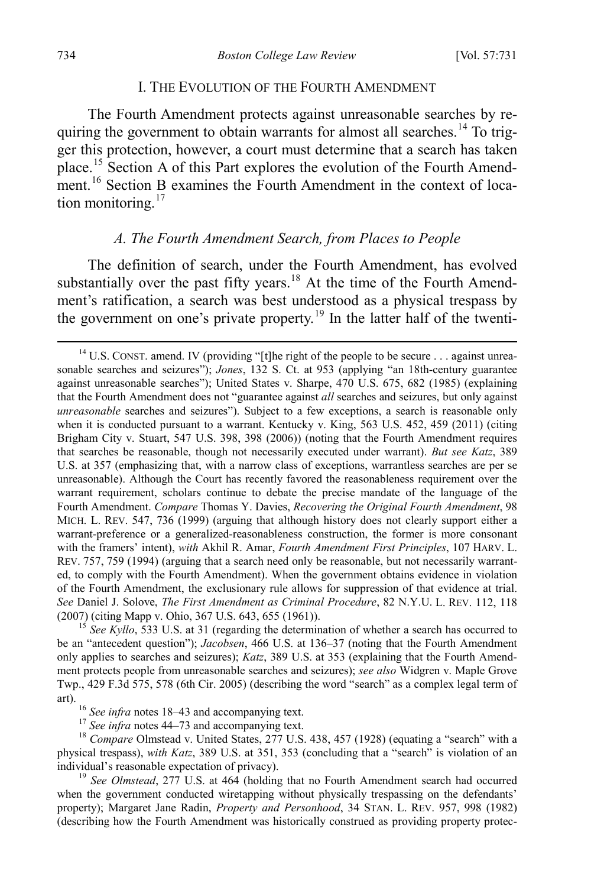#### <span id="page-4-7"></span>I. THE EVOLUTION OF THE FOURTH AMENDMENT

The Fourth Amendment protects against unreasonable searches by re-quiring the government to obtain warrants for almost all searches.<sup>[14](#page-4-1)</sup> To trigger this protection, however, a court must determine that a search has taken place.<sup>[15](#page-4-2)</sup> Section A of this Part explores the evolution of the Fourth Amend-ment.<sup>[16](#page-4-3)</sup> Section B examines the Fourth Amendment in the context of location monitoring. $17$ 

#### <span id="page-4-8"></span><span id="page-4-0"></span>*A. The Fourth Amendment Search, from Places to People*

The definition of search, under the Fourth Amendment, has evolved substantially over the past fifty years.<sup>[18](#page-4-5)</sup> At the time of the Fourth Amendment's ratification, a search was best understood as a physical trespass by the government on one's private property.<sup>[19](#page-4-6)</sup> In the latter half of the twenti-

<span id="page-4-2"></span><sup>15</sup> See Kyllo, 533 U.S. at 31 (regarding the determination of whether a search has occurred to be an "antecedent question"); *Jacobsen*, 466 U.S. at 136–37 (noting that the Fourth Amendment only applies to searches and seizures); *Katz*, 389 U.S. at 353 (explaining that the Fourth Amendment protects people from unreasonable searches and seizures); *see also* Widgren v. Maple Grove Twp., 429 F.3d 575, 578 (6th Cir. 2005) (describing the word "search" as a complex legal term of art).<br><sup>16</sup> *See infra* notes [18](#page-4-0)[–43](#page-8-0) and accompanying text.<br><sup>17</sup> *See infra* notes [44](#page-8-1)[–73](#page-13-0) and accompanying text.<br><sup>18</sup> *Compare* Olmstead v. United States, 277 U.S. 438, 457 (1928) (equating a "search" with a

<span id="page-4-5"></span><span id="page-4-4"></span><span id="page-4-3"></span>physical trespass), *with Katz*, 389 U.S. at 351, 353 (concluding that a "search" is violation of an individual's reasonable expectation of privacy). <sup>19</sup> *See Olmstead*, 277 U.S. at 464 (holding that no Fourth Amendment search had occurred

<span id="page-4-6"></span>when the government conducted wiretapping without physically trespassing on the defendants' property); Margaret Jane Radin, *Property and Personhood*, 34 STAN. L. REV. 957, 998 (1982) (describing how the Fourth Amendment was historically construed as providing property protec-

<span id="page-4-1"></span><sup>&</sup>lt;sup>14</sup> U.S. CONST. amend. IV (providing "[t]he right of the people to be secure . . . against unreasonable searches and seizures"); *Jones*, 132 S. Ct. at 953 (applying "an 18th-century guarantee against unreasonable searches"); United States v. Sharpe, 470 U.S. 675, 682 (1985) (explaining that the Fourth Amendment does not "guarantee against *all* searches and seizures, but only against *unreasonable* searches and seizures"). Subject to a few exceptions, a search is reasonable only when it is conducted pursuant to a warrant. Kentucky v. King, 563 U.S. 452, 459 (2011) (citing Brigham City v. Stuart, 547 U.S. 398, 398 (2006)) (noting that the Fourth Amendment requires that searches be reasonable, though not necessarily executed under warrant). *But see Katz*, 389 U.S. at 357 (emphasizing that, with a narrow class of exceptions, warrantless searches are per se unreasonable). Although the Court has recently favored the reasonableness requirement over the warrant requirement, scholars continue to debate the precise mandate of the language of the Fourth Amendment. *Compare* Thomas Y. Davies, *Recovering the Original Fourth Amendment*, 98 MICH. L. REV. 547, 736 (1999) (arguing that although history does not clearly support either a warrant-preference or a generalized-reasonableness construction, the former is more consonant with the framers' intent), *with* Akhil R. Amar, *Fourth Amendment First Principles*, 107 HARV. L. REV. 757, 759 (1994) (arguing that a search need only be reasonable, but not necessarily warranted, to comply with the Fourth Amendment). When the government obtains evidence in violation of the Fourth Amendment, the exclusionary rule allows for suppression of that evidence at trial. *See* Daniel J. Solove, *The First Amendment as Criminal Procedure*, 82 N.Y.U. L. REV. 112, 118 (2007) (citing Mapp v. Ohio, 367 U.S. 643, 655 (1961)).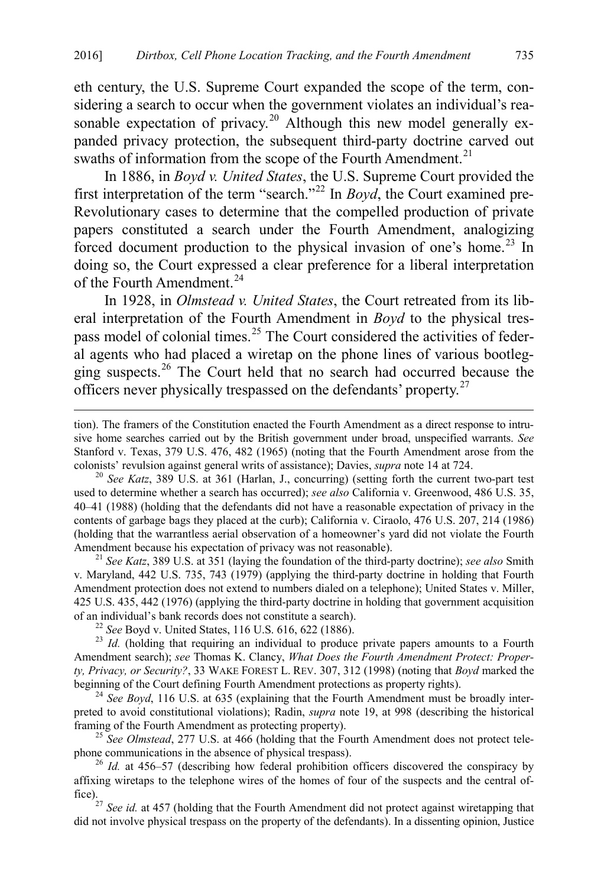eth century, the U.S. Supreme Court expanded the scope of the term, considering a search to occur when the government violates an individual's rea-sonable expectation of privacy.<sup>[20](#page-5-0)</sup> Although this new model generally expanded privacy protection, the subsequent third-party doctrine carved out swaths of information from the scope of the Fourth Amendment.<sup>[21](#page-5-1)</sup>

In 1886, in *Boyd v. United States*, the U.S. Supreme Court provided the first interpretation of the term "search."[22](#page-5-2) In *Boyd*, the Court examined pre-Revolutionary cases to determine that the compelled production of private papers constituted a search under the Fourth Amendment, analogizing forced document production to the physical invasion of one's home.<sup>[23](#page-5-3)</sup> In doing so, the Court expressed a clear preference for a liberal interpretation of the Fourth Amendment.<sup>[24](#page-5-4)</sup>

In 1928, in *Olmstead v. United States*, the Court retreated from its liberal interpretation of the Fourth Amendment in *Boyd* to the physical tres-pass model of colonial times.<sup>[25](#page-5-5)</sup> The Court considered the activities of federal agents who had placed a wiretap on the phone lines of various bootlegging suspects.[26](#page-5-6) The Court held that no search had occurred because the officers never physically trespassed on the defendants' property.[27](#page-5-7)

<span id="page-5-0"></span><sup>20</sup> See K[a](#page-4-7)tz, 389 U.S. at 361 (Harlan, J., concurring) (setting forth the current two-part test used to determine whether a search has occurred); *see also* California v. Greenwood, 486 U.S. 35, 40–41 (1988) (holding that the defendants did not have a reasonable expectation of privacy in the contents of garbage bags they placed at the curb); California v. Ciraolo, 476 U.S. 207, 214 (1986) (holding that the warrantless aerial observation of a homeowner's yard did not violate the Fourth Amendment because his expectation of privacy was not reasonable). <sup>21</sup> *See Katz*, 389 U.S. at 351 (laying the foundation of the third-party doctrine); *see also* Smith

<span id="page-5-1"></span>v. Maryland, 442 U.S. 735, 743 (1979) (applying the third-party doctrine in holding that Fourth Amendment protection does not extend to numbers dialed on a telephone); United States v. Miller, 425 U.S. 435, 442 (1976) (applying the third-party doctrine in holding that government acquisition

<span id="page-5-3"></span><span id="page-5-2"></span><sup>22</sup> See Boyd v. United States, 116 U.S. 616, 622 (1886). <sup>23</sup> *Id.* (holding that requiring an individual to produce private papers amounts to a Fourth Amendment search); *see* Thomas K. Clancy, *What Does the Fourth Amendment Protect: Property, Privacy, or Security?*, 33 WAKE FOREST L. REV. 307, 312 (1998) (noting that *Boyd* marked the

<span id="page-5-4"></span> $b<sup>24</sup>$  *See Boyd*, 116 U.S. at 635 (explaining that the Fourth Amendment must be broadly interpreted to avoid constitutional violations); Radin, *supra* note [19,](#page-4-8) at 998 (describing the historical

<span id="page-5-5"></span>framing of the Fourth Amendment as protecting property).<br><sup>25</sup> *See Olmstead*, 277 U.S. at 466 (holding that the Fourth Amendment does not protect tele-<br>phone communications in the absence of physical trespass).

<span id="page-5-6"></span><sup>26</sup> *Id.* at 456–57 (describing how federal prohibition officers discovered the conspiracy by affixing wiretaps to the telephone wires of the homes of four of the suspects and the central office).27 *See id.* at 457 (holding that the Fourth Amendment did not protect against wiretapping that

<span id="page-5-7"></span>did not involve physical trespass on the property of the defendants). In a dissenting opinion, Justice

tion). The framers of the Constitution enacted the Fourth Amendment as a direct response to intrusive home searches carried out by the British government under broad, unspecified warrants. *See* Stanford v. Texas, 379 U.S. 476, 482 (1965) (noting that the Fourth Amendment arose from the colonists' revulsion against general writs of assistance); Davies, *supra* note 14 at 724.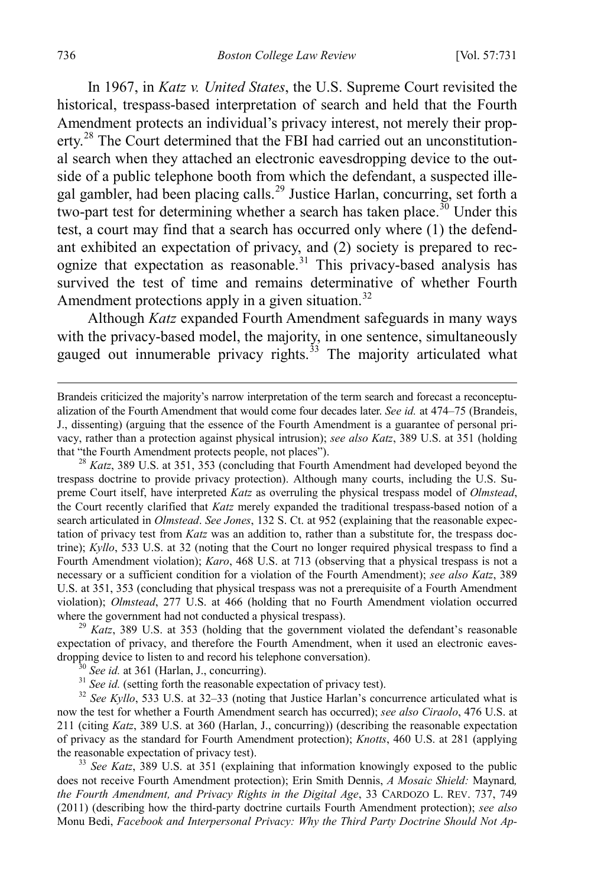In 1967, in *Katz v. United States*, the U.S. Supreme Court revisited the historical, trespass-based interpretation of search and held that the Fourth Amendment protects an individual's privacy interest, not merely their prop-erty.<sup>[28](#page-6-0)</sup> The Court determined that the FBI had carried out an unconstitutional search when they attached an electronic eavesdropping device to the outside of a public telephone booth from which the defendant, a suspected ille-gal gambler, had been placing calls.<sup>[29](#page-6-1)</sup> Justice Harlan, concurring, set forth a two-part test for determining whether a search has taken place.<sup>[30](#page-6-2)</sup> Under this test, a court may find that a search has occurred only where (1) the defendant exhibited an expectation of privacy, and (2) society is prepared to rec-ognize that expectation as reasonable.<sup>[31](#page-6-3)</sup> This privacy-based analysis has survived the test of time and remains determinative of whether Fourth Amendment protections apply in a given situation.<sup>[32](#page-6-4)</sup>

Although *Katz* expanded Fourth Amendment safeguards in many ways with the privacy-based model, the majority, in one sentence, simultaneously gauged out innumerable privacy rights.<sup>[33](#page-6-5)</sup> The majority articulated what

<span id="page-6-0"></span> $t^{28}$  *Katz*, 389 U.S. at 351, 353 (concluding that Fourth Amendment had developed beyond the trespass doctrine to provide privacy protection). Although many courts, including the U.S. Supreme Court itself, have interpreted *Katz* as overruling the physical trespass model of *Olmstead*, the Court recently clarified that *Katz* merely expanded the traditional trespass-based notion of a search articulated in *Olmstead*. *See Jones*, 132 S. Ct. at 952 (explaining that the reasonable expectation of privacy test from *Katz* was an addition to, rather than a substitute for, the trespass doctrine); *Kyllo*, 533 U.S. at 32 (noting that the Court no longer required physical trespass to find a Fourth Amendment violation); *Karo*, 468 U.S. at 713 (observing that a physical trespass is not a necessary or a sufficient condition for a violation of the Fourth Amendment); *see also Katz*, 389 U.S. at 351, 353 (concluding that physical trespass was not a prerequisite of a Fourth Amendment violation); *Olmstead*, 277 U.S. at 466 (holding that no Fourth Amendment violation occurred where the government had not conducted a physical trespass).

<span id="page-6-1"></span> $^{29}$  *Katz*, 389 U.S. at 353 (holding that the government violated the defendant's reasonable expectation of privacy, and therefore the Fourth Amendment, when it used an electronic eavesdropping device to listen to and record his telephone conversation).<br><sup>30</sup> See id. at 361 (Harlan, J., concurring).<br><sup>31</sup> See id. (setting forth the reasonable expectation of privacy test).<br><sup>32</sup> See Kyllo, 533 U.S. at 32–33

<span id="page-6-4"></span><span id="page-6-3"></span><span id="page-6-2"></span>now the test for whether a Fourth Amendment search has occurred); *see also Ciraolo*, 476 U.S. at 211 (citing *Katz*, 389 U.S. at 360 (Harlan, J., concurring)) (describing the reasonable expectation of privacy as the standard for Fourth Amendment protection); *Knotts*, 460 U.S. at 281 (applying the reasonable expectation of privacy test). <sup>33</sup> *See Katz*, 389 U.S. at 351 (explaining that information knowingly exposed to the public

<span id="page-6-5"></span>does not receive Fourth Amendment protection); Erin Smith Dennis, *A Mosaic Shield:* Maynard*, the Fourth Amendment, and Privacy Rights in the Digital Age*, 33 CARDOZO L. REV. 737, 749 (2011) (describing how the third-party doctrine curtails Fourth Amendment protection); *see also* Monu Bedi, *Facebook and Interpersonal Privacy: Why the Third Party Doctrine Should Not Ap-*

Brandeis criticized the majority's narrow interpretation of the term search and forecast a reconceptualization of the Fourth Amendment that would come four decades later. *See id.* at 474–75 (Brandeis, J., dissenting) (arguing that the essence of the Fourth Amendment is a guarantee of personal privacy, rather than a protection against physical intrusion); *see also Katz*, 389 U.S. at 351 (holding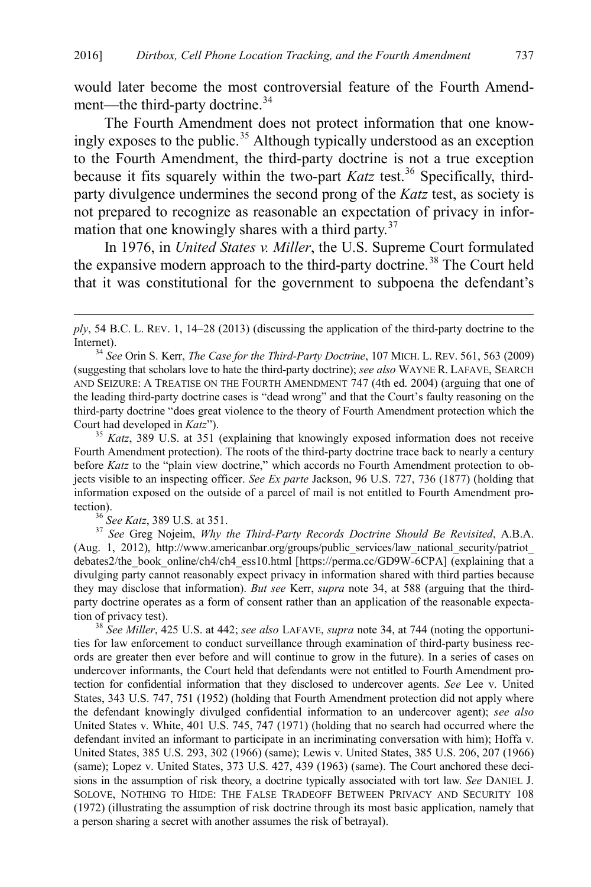<span id="page-7-0"></span>would later become the most controversial feature of the Fourth Amend-ment—the third-party doctrine.<sup>[34](#page-7-1)</sup>

The Fourth Amendment does not protect information that one know-ingly exposes to the public.<sup>[35](#page-7-2)</sup> Although typically understood as an exception to the Fourth Amendment, the third-party doctrine is not a true exception because it fits squarely within the two-part *Katz* test.<sup>[36](#page-7-3)</sup> Specifically, thirdparty divulgence undermines the second prong of the *Katz* test, as society is not prepared to recognize as reasonable an expectation of privacy in infor-mation that one knowingly shares with a third party.<sup>[37](#page-7-4)</sup>

In 1976, in *United States v. Miller*, the U.S. Supreme Court formulated the expansive modern approach to the third-party doctrine.<sup>[38](#page-7-5)</sup> The Court held that it was constitutional for the government to subpoena the defendant's

<span id="page-7-2"></span>Fourth Amendment protection). The roots of the third-party doctrine trace back to nearly a century before *Katz* to the "plain view doctrine," which accords no Fourth Amendment protection to objects visible to an inspecting officer. *See Ex parte* Jackson, 96 U.S. 727, 736 (1877) (holding that information exposed on the outside of a parcel of mail is not entitled to Fourth Amendment protection).<br> $36$  See Katz, 389 U.S. at 351.

 $\overline{a}$ 

<span id="page-7-4"></span><span id="page-7-3"></span><sup>37</sup> See Greg Nojeim, *Why the Third-Party Records Doctrine Should Be Revisited*, A.B.A. (Aug. 1, 2012), http://www.americanbar.org/groups/public\_services/law\_national\_security/patriot\_ debates2/the\_book\_online/ch4/ch4\_ess10.html [https://perma.cc/GD9W-6CPA] (explaining that a divulging party cannot reasonably expect privacy in information shared with third parties because they may disclose that information). *But see* Kerr, *supra* note [34,](#page-7-0) at 588 (arguing that the thirdparty doctrine operates as a form of consent rather than an application of the reasonable expectation of privacy test). 38 *See Miller*, 425 U.S. at 442; *see also* LAFAVE, *supra* note [34,](#page-7-0) at 744 (noting the opportuni-

<span id="page-7-5"></span>ties for law enforcement to conduct surveillance through examination of third-party business records are greater then ever before and will continue to grow in the future). In a series of cases on undercover informants, the Court held that defendants were not entitled to Fourth Amendment protection for confidential information that they disclosed to undercover agents. *See* Lee v. United States, 343 U.S. 747, 751 (1952) (holding that Fourth Amendment protection did not apply where the defendant knowingly divulged confidential information to an undercover agent); *see also* United States v. White, 401 U.S. 745, 747 (1971) (holding that no search had occurred where the defendant invited an informant to participate in an incriminating conversation with him); Hoffa v. United States, 385 U.S. 293, 302 (1966) (same); Lewis v. United States, 385 U.S. 206, 207 (1966) (same); Lopez v. United States, 373 U.S. 427, 439 (1963) (same). The Court anchored these decisions in the assumption of risk theory, a doctrine typically associated with tort law. *See* DANIEL J. SOLOVE, NOTHING TO HIDE: THE FALSE TRADEOFF BETWEEN PRIVACY AND SECURITY 108 (1972) (illustrating the assumption of risk doctrine through its most basic application, namely that a person sharing a secret with another assumes the risk of betrayal).

*ply*, 54 B.C. L. REV. 1, 14–28 (2013) (discussing the application of the third-party doctrine to the

<span id="page-7-1"></span>Internet). <sup>34</sup> *See* Orin S. Kerr, *The Case for the Third-Party Doctrine*, 107 MICH. L. REV. 561, 563 (2009) (suggesting that scholars love to hate the third-party doctrine); *see also* WAYNE R. LAFAVE, SEARCH AND SEIZURE: A TREATISE ON THE FOURTH AMENDMENT 747 (4th ed. 2004) (arguing that one of the leading third-party doctrine cases is "dead wrong" and that the Court's faulty reasoning on the third-party doctrine "does great violence to the theory of Fourth Amendment protection which the Court had developed in *Katz*"). <sup>35</sup> *Katz*, 389 U.S. at 351 (explaining that knowingly exposed information does not receive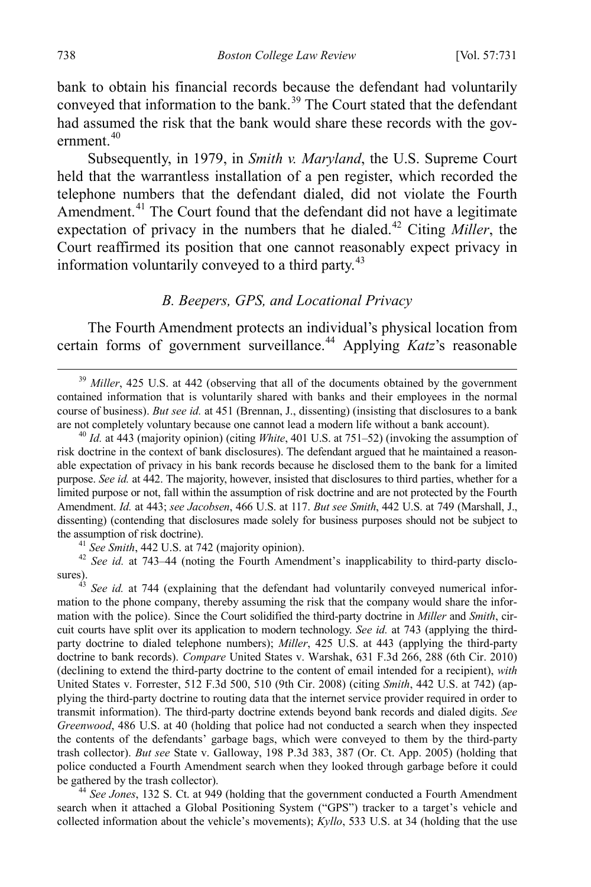bank to obtain his financial records because the defendant had voluntarily conveyed that information to the bank. [39](#page-8-2) The Court stated that the defendant had assumed the risk that the bank would share these records with the government. $40$ 

Subsequently, in 1979, in *Smith v. Maryland*, the U.S. Supreme Court held that the warrantless installation of a pen register, which recorded the telephone numbers that the defendant dialed, did not violate the Fourth Amendment.<sup>[41](#page-8-4)</sup> The Court found that the defendant did not have a legitimate expectation of privacy in the numbers that he dialed.<sup>[42](#page-8-5)</sup> Citing *Miller*, the Court reaffirmed its position that one cannot reasonably expect privacy in information voluntarily conveyed to a third party.<sup>[43](#page-8-6)</sup>

#### <span id="page-8-1"></span><span id="page-8-0"></span>*B. Beepers, GPS, and Locational Privacy*

The Fourth Amendment protects an individual's physical location from certain forms of government surveillance. [44](#page-8-7) Applying *Katz*'s reasonable

<span id="page-8-2"></span><sup>39</sup> *Miller*, 425 U.S. at 442 (observing that all of the documents obtained by the government contained information that is voluntarily shared with banks and their employees in the normal course of business). *But see id.* at 451 (Brennan, J., dissenting) (insisting that disclosures to a bank are not completely voluntary because one cannot lead a modern life without a bank account).<br><sup>40</sup> *Id.* at 443 (majority opinion) (citing *White*, 401 U.S. at 751–52) (invoking the assumption of

<span id="page-8-3"></span>risk doctrine in the context of bank disclosures). The defendant argued that he maintained a reasonable expectation of privacy in his bank records because he disclosed them to the bank for a limited purpose. *See id.* at 442. The majority, however, insisted that disclosures to third parties, whether for a limited purpose or not, fall within the assumption of risk doctrine and are not protected by the Fourth Amendment. *Id.* at 443; *see Jacobsen*, 466 U.S. at 117. *But see Smith*, 442 U.S. at 749 (Marshall, J., dissenting) (contending that disclosures made solely for business purposes should not be subject to the assumption of risk doctrine).

<span id="page-8-5"></span><span id="page-8-4"></span><sup>41</sup> *See Smith*, 442 U.S. at 742 (majority opinion). <sup>42</sup> *See id.* at 743–44 (noting the Fourth Amendment's inapplicability to third-party disclosures).

<span id="page-8-6"></span>See *id.* at 744 (explaining that the defendant had voluntarily conveyed numerical information to the phone company, thereby assuming the risk that the company would share the information with the police). Since the Court solidified the third-party doctrine in *Miller* and *Smith*, circuit courts have split over its application to modern technology. *See id.* at 743 (applying the thirdparty doctrine to dialed telephone numbers); *Miller*, 425 U.S. at 443 (applying the third-party doctrine to bank records). *Compare* United States v. Warshak, 631 F.3d 266, 288 (6th Cir. 2010) (declining to extend the third-party doctrine to the content of email intended for a recipient), *with*  United States v. Forrester, 512 F.3d 500, 510 (9th Cir. 2008) (citing *Smith*, 442 U.S. at 742) (applying the third-party doctrine to routing data that the internet service provider required in order to transmit information). The third-party doctrine extends beyond bank records and dialed digits. *See Greenwood*, 486 U.S. at 40 (holding that police had not conducted a search when they inspected the contents of the defendants' garbage bags, which were conveyed to them by the third-party trash collector). *But see* State v. Galloway, 198 P.3d 383, 387 (Or. Ct. App. 2005) (holding that police conducted a Fourth Amendment search when they looked through garbage before it could<br>be gathered by the trash collector).

<span id="page-8-7"></span><sup>44</sup> See Jones, 132 S. Ct. at 949 (holding that the government conducted a Fourth Amendment search when it attached a Global Positioning System ("GPS") tracker to a target's vehicle and collected information about the vehicle's movements); *Kyllo*, 533 U.S. at 34 (holding that the use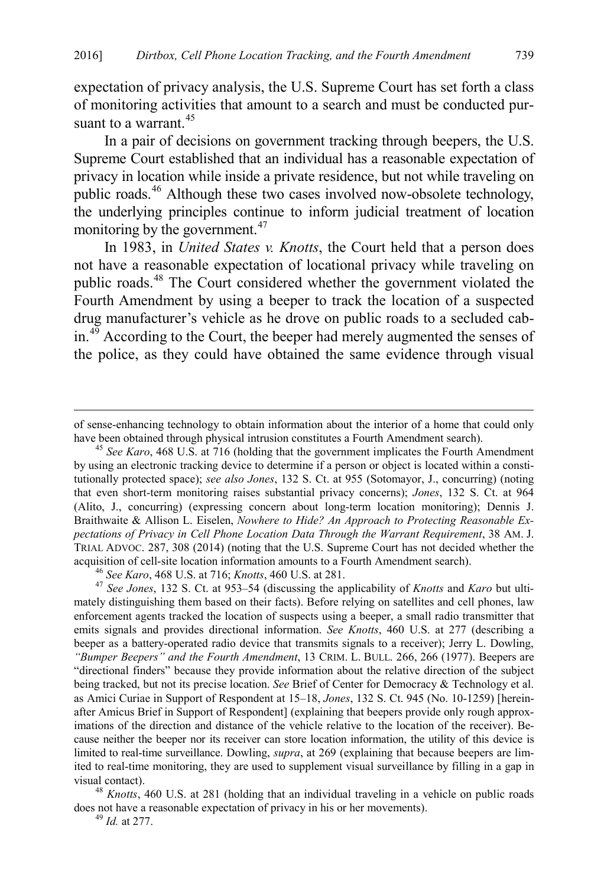expectation of privacy analysis, the U.S. Supreme Court has set forth a class of monitoring activities that amount to a search and must be conducted pur-suant to a warrant.<sup>[45](#page-9-0)</sup>

In a pair of decisions on government tracking through beepers, the U.S. Supreme Court established that an individual has a reasonable expectation of privacy in location while inside a private residence, but not while traveling on public roads.<sup>[46](#page-9-1)</sup> Although these two cases involved now-obsolete technology, the underlying principles continue to inform judicial treatment of location monitoring by the government.<sup>[47](#page-9-2)</sup>

<span id="page-9-5"></span>In 1983, in *United States v. Knotts*, the Court held that a person does not have a reasonable expectation of locational privacy while traveling on public roads.[48](#page-9-3) The Court considered whether the government violated the Fourth Amendment by using a beeper to track the location of a suspected drug manufacturer's vehicle as he drove on public roads to a secluded cab- $\sin^{49}$  According to the Court, the beeper had merely augmented the senses of the police, as they could have obtained the same evidence through visual

<span id="page-9-2"></span><span id="page-9-1"></span>mately distinguishing them based on their facts). Before relying on satellites and cell phones, law enforcement agents tracked the location of suspects using a beeper, a small radio transmitter that emits signals and provides directional information. *See Knotts*, 460 U.S. at 277 (describing a beeper as a battery-operated radio device that transmits signals to a receiver); Jerry L. Dowling, *"Bumper Beepers" and the Fourth Amendment*, 13 CRIM. L. BULL. 266, 266 (1977). Beepers are "directional finders" because they provide information about the relative direction of the subject being tracked, but not its precise location. *See* Brief of Center for Democracy & Technology et al. as Amici Curiae in Support of Respondent at 15–18, *Jones*, 132 S. Ct. 945 (No. 10-1259) [hereinafter Amicus Brief in Support of Respondent] (explaining that beepers provide only rough approximations of the direction and distance of the vehicle relative to the location of the receiver). Because neither the beeper nor its receiver can store location information, the utility of this device is limited to real-time surveillance. Dowling, *supra*, at 269 (explaining that because beepers are limited to real-time monitoring, they are used to supplement visual surveillance by filling in a gap in

<span id="page-9-4"></span><span id="page-9-3"></span>visual contact). <sup>48</sup> *Knotts*, 460 U.S. at 281 (holding that an individual traveling in a vehicle on public roads does not have a reasonable expectation of privacy in his or her movements). <sup>49</sup> *Id.* at 277.

of sense-enhancing technology to obtain information about the interior of a home that could only have been obtained through physical intrusion constitutes a Fourth Amendment search). <sup>45</sup> *See Karo*, 468 U.S. at 716 (holding that the government implicates the Fourth Amendment

<span id="page-9-0"></span>by using an electronic tracking device to determine if a person or object is located within a constitutionally protected space); *see also Jones*, 132 S. Ct. at 955 (Sotomayor, J., concurring) (noting that even short-term monitoring raises substantial privacy concerns); *Jones*, 132 S. Ct. at 964 (Alito, J., concurring) (expressing concern about long-term location monitoring); Dennis J. Braithwaite & Allison L. Eiselen, *Nowhere to Hide? An Approach to Protecting Reasonable Expectations of Privacy in Cell Phone Location Data Through the Warrant Requirement*, 38 AM. J. TRIAL ADVOC. 287, 308 (2014) (noting that the U.S. Supreme Court has not decided whether the acquisition of cell-site location information amounts to a Fourth Amendment search).<br><sup>46</sup> See Karo, 468 U.S. at 716; Knotts, 460 U.S. at 281.<br><sup>47</sup> See Jones, 132 S. Ct. at 953–54 (discussing the applicability of Knotts and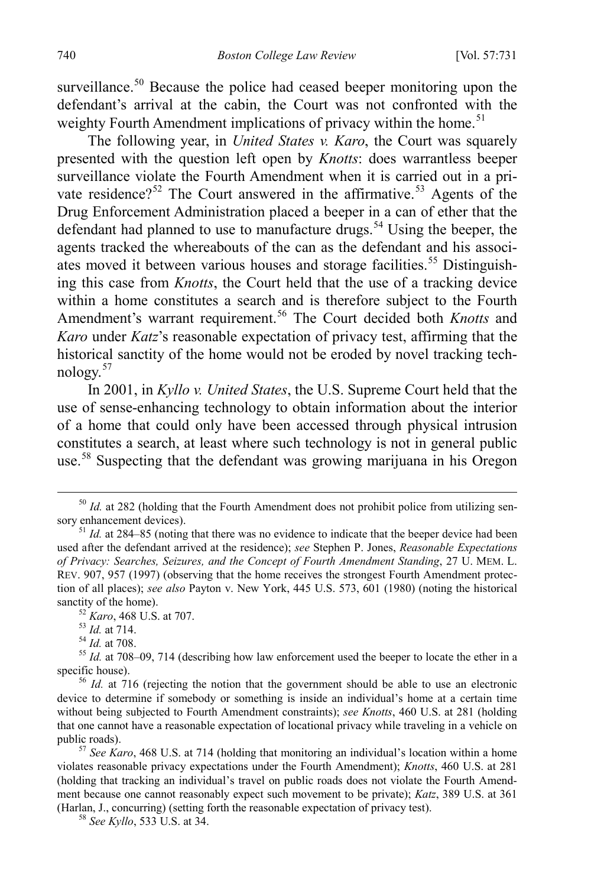surveillance.<sup>[50](#page-10-0)</sup> Because the police had ceased beeper monitoring upon the defendant's arrival at the cabin, the Court was not confronted with the weighty Fourth Amendment implications of privacy within the home.<sup>[51](#page-10-1)</sup>

The following year, in *United States v. Karo*, the Court was squarely presented with the question left open by *Knotts*: does warrantless beeper surveillance violate the Fourth Amendment when it is carried out in a pri-vate residence?<sup>[52](#page-10-2)</sup> The Court answered in the affirmative.<sup>[53](#page-10-3)</sup> Agents of the Drug Enforcement Administration placed a beeper in a can of ether that the defendant had planned to use to manufacture drugs.<sup>[54](#page-10-4)</sup> Using the beeper, the agents tracked the whereabouts of the can as the defendant and his associ-ates moved it between various houses and storage facilities.<sup>[55](#page-10-5)</sup> Distinguishing this case from *Knotts*, the Court held that the use of a tracking device within a home constitutes a search and is therefore subject to the Fourth Amendment's warrant requirement.[56](#page-10-6) The Court decided both *Knotts* and *Karo* under *Katz*'s reasonable expectation of privacy test, affirming that the historical sanctity of the home would not be eroded by novel tracking technology.[57](#page-10-7)

In 2001, in *Kyllo v. United States*, the U.S. Supreme Court held that the use of sense-enhancing technology to obtain information about the interior of a home that could only have been accessed through physical intrusion constitutes a search, at least where such technology is not in general public use.[58](#page-10-8) Suspecting that the defendant was growing marijuana in his Oregon

<span id="page-10-0"></span><sup>&</sup>lt;sup>50</sup> *Id.* at 282 (holding that the Fourth Amendment does not prohibit police from utilizing sensory enhancement devices).<br><sup>51</sup> *Id.* at 284–85 (noting that there was no evidence to indicate that the beeper device had been

<span id="page-10-1"></span>used after the defendant arrived at the residence); *see* Stephen P. Jones, *Reasonable Expectations of Privacy: Searches, Seizures, and the Concept of Fourth Amendment Standing*, 27 U. MEM. L. REV. 907, 957 (1997) (observing that the home receives the strongest Fourth Amendment protection of all places); *see also* Payton v. New York, 445 U.S. 573, 601 (1980) (noting the historical

<span id="page-10-4"></span><span id="page-10-3"></span><span id="page-10-2"></span>sanctity of the home).<br><sup>52</sup> *Karo*, 468 U.S. at 707.<br><sup>53</sup> *Id.* at 714.<br><sup>54</sup> *Id.* at 708–09, 714 (describing how law enforcement used the beeper to locate the ether in a<br>specific house).

<span id="page-10-6"></span><span id="page-10-5"></span><sup>&</sup>lt;sup>56</sup> *Id.* at 716 (rejecting the notion that the government should be able to use an electronic device to determine if somebody or something is inside an individual's home at a certain time without being subjected to Fourth Amendment constraints); *see Knotts*, 460 U.S. at 281 (holding that one cannot have a reasonable expectation of locational privacy while traveling in a vehicle on public roads).<br><sup>57</sup> *See Karo*, 468 U.S. at 714 (holding that monitoring an individual's location within a home

<span id="page-10-7"></span>violates reasonable privacy expectations under the Fourth Amendment); *Knotts*, 460 U.S. at 281 (holding that tracking an individual's travel on public roads does not violate the Fourth Amendment because one cannot reasonably expect such movement to be private); *Katz*, 389 U.S. at 361 (Harlan, J., concurring) (setting forth the reasonable expectation of privacy test). 58 *See Kyllo*, 533 U.S. at 34.

<span id="page-10-8"></span>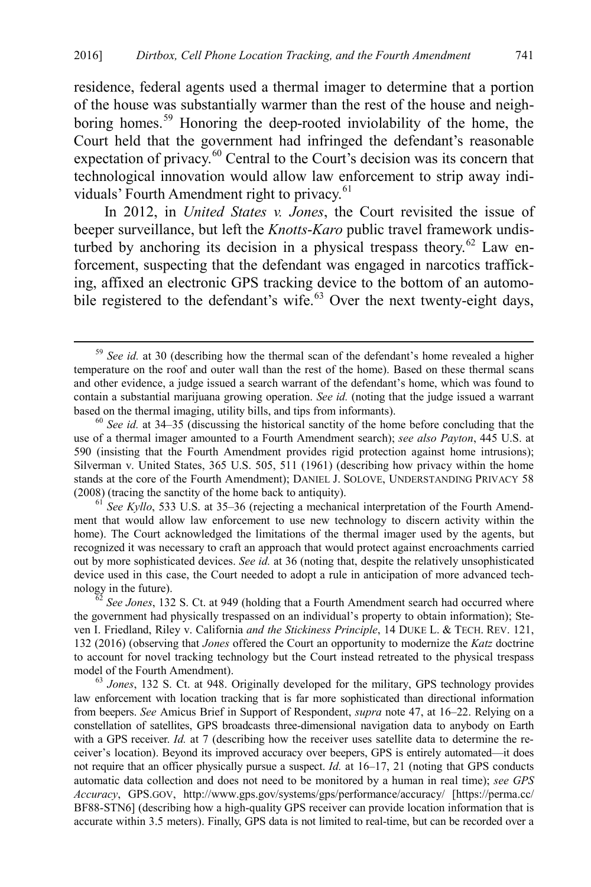residence, federal agents used a thermal imager to determine that a portion of the house was substantially warmer than the rest of the house and neighboring homes.[59](#page-11-0) Honoring the deep-rooted inviolability of the home, the Court held that the government had infringed the defendant's reasonable expectation of privacy.<sup>[60](#page-11-1)</sup> Central to the Court's decision was its concern that technological innovation would allow law enforcement to strip away indi-viduals' Fourth Amendment right to privacy.<sup>[61](#page-11-2)</sup>

In 2012, in *United States v. Jones*, the Court revisited the issue of beeper surveillance, but left the *Knotts*-*Karo* public travel framework undis-turbed by anchoring its decision in a physical trespass theory.<sup>[62](#page-11-3)</sup> Law enforcement, suspecting that the defendant was engaged in narcotics trafficking, affixed an electronic GPS tracking device to the bottom of an automo-bile registered to the defendant's wife.<sup>[63](#page-11-4)</sup> Over the next twenty-eight days,

<span id="page-11-0"></span> <sup>59</sup> *See id.* at 30 (describing how the thermal scan of the defendant's home revealed a higher temperature on the roof and outer wall than the rest of the home). Based on these thermal scans and other evidence, a judge issued a search warrant of the defendant's home, which was found to contain a substantial marijuana growing operation. *See id.* (noting that the judge issued a warrant based on the thermal imaging, utility bills, and tips from informants). <sup>60</sup> *See id.* at 34–35 (discussing the historical sanctity of the home before concluding that the

<span id="page-11-1"></span>use of a thermal imager amounted to a Fourth Amendment search); *see also Payton*, 445 U.S. at 590 (insisting that the Fourth Amendment provides rigid protection against home intrusions); Silverman v. United States, 365 U.S. 505, 511 (1961) (describing how privacy within the home stands at the core of the Fourth Amendment); DANIEL J. SOLOVE, UNDERSTANDING PRIVACY 58 (2008) (tracing the sanctity of the home back to antiquity).<br><sup>61</sup> *See Kyllo*, 533 U.S. at 35–36 (rejecting a mechanical interpretation of the Fourth Amend-

<span id="page-11-2"></span>ment that would allow law enforcement to use new technology to discern activity within the home). The Court acknowledged the limitations of the thermal imager used by the agents, but recognized it was necessary to craft an approach that would protect against encroachments carried out by more sophisticated devices. *See id.* at 36 (noting that, despite the relatively unsophisticated device used in this case, the Court needed to adopt a rule in anticipation of more advanced technology in the future).<br><sup>62</sup> *See Jones*, 132 S. Ct. at 949 (holding that a Fourth Amendment search had occurred where

<span id="page-11-3"></span>the government had physically trespassed on an individual's property to obtain information); Steven I. Friedland, Riley v. California *and the Stickiness Principle*, 14 DUKE L. & TECH. REV. 121, 132 (2016) (observing that *Jones* offered the Court an opportunity to modernize the *Katz* doctrine to account for novel tracking technology but the Court instead retreated to the physical trespass model of the Fourth Amendment).<br><sup>63</sup> *Jones*, 132 S. Ct. at 948. Originally developed for the military, GPS technology provides

<span id="page-11-4"></span>law enforcement with location tracking that is far more sophisticated than directional information from beepers. *See* Amicus Brief in Support of Respondent, *supra* note [47,](#page-9-5) at 16–22. Relying on a constellation of satellites, GPS broadcasts three-dimensional navigation data to anybody on Earth with a GPS receiver. *Id.* at 7 (describing how the receiver uses satellite data to determine the receiver's location). Beyond its improved accuracy over beepers, GPS is entirely automated—it does not require that an officer physically pursue a suspect. *Id.* at 16–17, 21 (noting that GPS conducts automatic data collection and does not need to be monitored by a human in real time); *see GPS Accuracy*, GPS.GOV, http://www.gps.gov/systems/gps/performance/accuracy/ [https://perma.cc/ BF88-STN6] (describing how a high-quality GPS receiver can provide location information that is accurate within 3.5 meters). Finally, GPS data is not limited to real-time, but can be recorded over a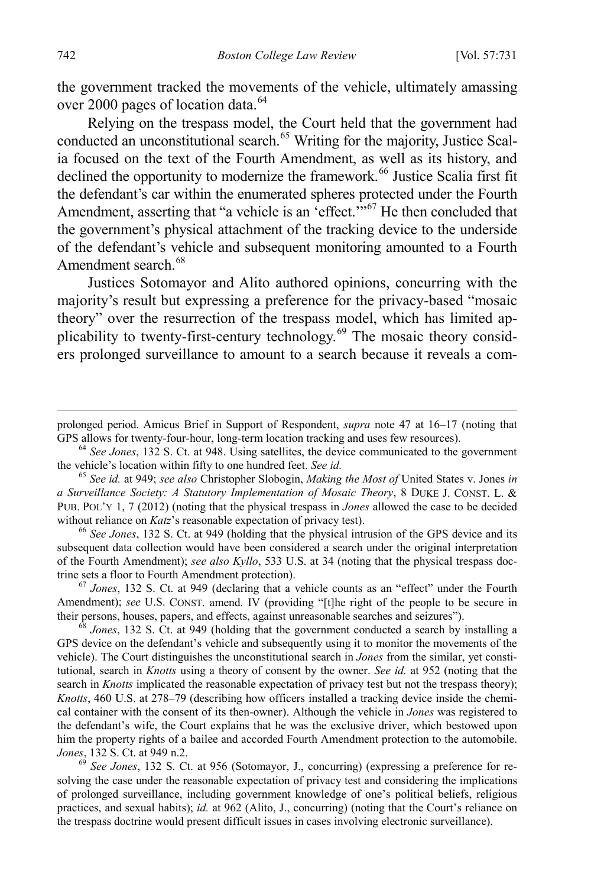the government tracked the movements of the vehicle, ultimately amassing over 2000 pages of location data.<sup>[64](#page-12-0)</sup>

<span id="page-12-6"></span>Relying on the trespass model, the Court held that the government had conducted an unconstitutional search.<sup>[65](#page-12-1)</sup> Writing for the majority, Justice Scalia focused on the text of the Fourth Amendment, as well as its history, and declined the opportunity to modernize the framework.<sup>[66](#page-12-2)</sup> Justice Scalia first fit the defendant's car within the enumerated spheres protected under the Fourth Amendment, asserting that "a vehicle is an  $\text{`effect.}$ "<sup>[67](#page-12-3)</sup>He then concluded that the government's physical attachment of the tracking device to the underside of the defendant's vehicle and subsequent monitoring amounted to a Fourth Amendment search.<sup>[68](#page-12-4)</sup>

Justices Sotomayor and Alito authored opinions, concurring with the majority's result but expressing a preference for the privacy-based "mosaic theory" over the resurrection of the trespass model, which has limited applicability to twenty-first-century technology.[69](#page-12-5) The mosaic theory considers prolonged surveillance to amount to a search because it reveals a com-

<span id="page-12-1"></span><sup>65</sup> See id. at 949; *see also* Christopher Slobogin, *Making the Most of* United States v. Jones *in a Surveillance Society: A Statutory Implementation of Mosaic Theory*, 8 DUKE J. CONST. L. & PUB. POL'Y 1, 7 (2012) (noting that the physical trespass in *Jones* allowed the case to be decided without reliance on *Katz*'s reasonable expectation of privacy test).<br><sup>66</sup> *See Jones*, 132 S. Ct. at 949 (holding that the physical intrusion of the GPS device and its

<span id="page-12-2"></span>subsequent data collection would have been considered a search under the original interpretation of the Fourth Amendment); *see also Kyllo*, 533 U.S. at 34 (noting that the physical trespass doctrine sets a floor to Fourth Amendment protection).

<span id="page-12-3"></span> $\frac{67}{3}$  *Jones*, 132 S. Ct. at 949 (declaring that a vehicle counts as an "effect" under the Fourth Amendment); *see* U.S. CONST. amend. IV (providing "[t]he right of the people to be secure in their persons, houses, papers, and effects, against unreasonable searches and seizures").

<span id="page-12-4"></span> $\frac{1}{8}$  *Jones*, 132 S. Ct. at 949 (holding that the government conducted a search by installing a GPS device on the defendant's vehicle and subsequently using it to monitor the movements of the vehicle). The Court distinguishes the unconstitutional search in *Jones* from the similar, yet constitutional, search in *Knotts* using a theory of consent by the owner. *See id.* at 952 (noting that the search in *Knotts* implicated the reasonable expectation of privacy test but not the trespass theory); *Knotts*, 460 U.S. at 278–79 (describing how officers installed a tracking device inside the chemical container with the consent of its then-owner). Although the vehicle in *Jones* was registered to the defendant's wife, the Court explains that he was the exclusive driver, which bestowed upon him the property rights of a bailee and accorded Fourth Amendment protection to the automobile.<br>Jones, 132 S. Ct. at 949 n.2.

<span id="page-12-5"></span><sup>69</sup> See Jones, 132 S. Ct. at 956 (Sotomayor, J., concurring) (expressing a preference for resolving the case under the reasonable expectation of privacy test and considering the implications of prolonged surveillance, including government knowledge of one's political beliefs, religious practices, and sexual habits); *id.* at 962 (Alito, J., concurring) (noting that the Court's reliance on the trespass doctrine would present difficult issues in cases involving electronic surveillance).

prolonged period. Amicus Brief in Support of Respondent, *supra* note [47](#page-9-5) at 16–17 (noting that

<span id="page-12-0"></span>GPS allows for twenty-four-hour, long-term location tracking and uses few resources).<br><sup>64</sup> *See Jones*, 132 S. Ct. at 948. Using satellites, the device communicated to the government the vehicle's location within fifty to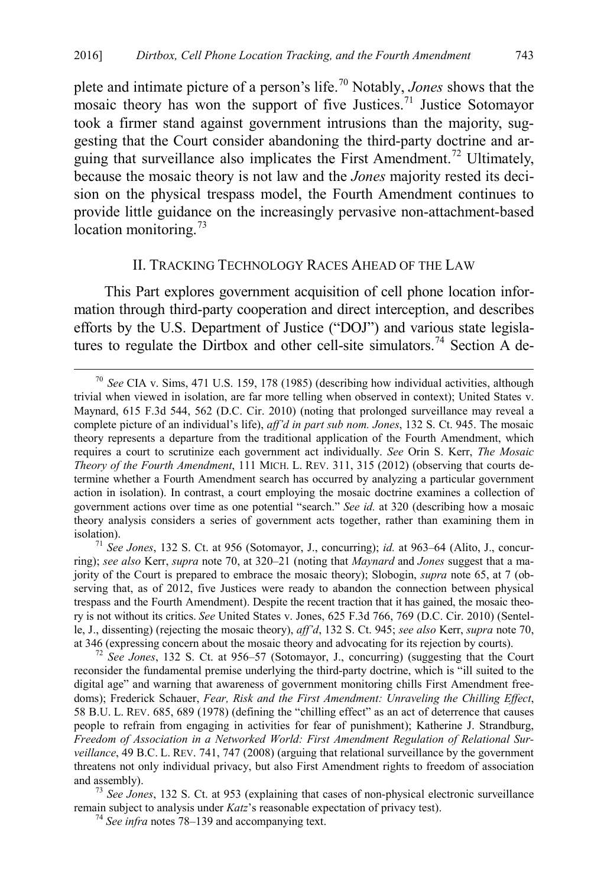<span id="page-13-2"></span>plete and intimate picture of a person's life.[70](#page-13-3) Notably, *Jones* shows that the mosaic theory has won the support of five Justices.<sup>[71](#page-13-4)</sup> Justice Sotomayor took a firmer stand against government intrusions than the majority, suggesting that the Court consider abandoning the third-party doctrine and ar-guing that surveillance also implicates the First Amendment.<sup>[72](#page-13-5)</sup> Ultimately, because the mosaic theory is not law and the *Jones* majority rested its decision on the physical trespass model, the Fourth Amendment continues to provide little guidance on the increasingly pervasive non-attachment-based location monitoring.<sup>[73](#page-13-6)</sup>

#### <span id="page-13-1"></span><span id="page-13-0"></span>II. TRACKING TECHNOLOGY RACES AHEAD OF THE LAW

This Part explores government acquisition of cell phone location information through third-party cooperation and direct interception, and describes efforts by the U.S. Department of Justice ("DOJ") and various state legisla-tures to regulate the Dirtbox and other cell-site simulators.<sup>[74](#page-13-7)</sup> Section A de-

<span id="page-13-5"></span>reconsider the fundamental premise underlying the third-party doctrine, which is "ill suited to the digital age" and warning that awareness of government monitoring chills First Amendment freedoms); Frederick Schauer, *Fear, Risk and the First Amendment: Unraveling the Chilling Effect*, 58 B.U. L. REV. 685, 689 (1978) (defining the "chilling effect" as an act of deterrence that causes people to refrain from engaging in activities for fear of punishment); Katherine J. Strandburg, *Freedom of Association in a Networked World: First Amendment Regulation of Relational Surveillance*, 49 B.C. L. REV. 741, 747 (2008) (arguing that relational surveillance by the government threatens not only individual privacy, but also First Amendment rights to freedom of association and assembly). <sup>73</sup> *See Jones*, 132 S. Ct. at 953 (explaining that cases of non-physical electronic surveillance

<span id="page-13-7"></span><span id="page-13-6"></span>remain subject to analysis under *Katz*'s reasonable expectation of privacy test). <sup>74</sup> *See infra* note[s 78–](#page-14-0)[139](#page-26-1) and accompanying text.

<span id="page-13-3"></span> <sup>70</sup> *See* CIA v. Sims, 471 U.S. 159, 178 (1985) (describing how individual activities, although trivial when viewed in isolation, are far more telling when observed in context); United States v. Maynard, 615 F.3d 544, 562 (D.C. Cir. 2010) (noting that prolonged surveillance may reveal a complete picture of an individual's life), *aff'd in part sub nom. Jones*, 132 S. Ct. 945. The mosaic theory represents a departure from the traditional application of the Fourth Amendment, which requires a court to scrutinize each government act individually. *See* Orin S. Kerr, *The Mosaic Theory of the Fourth Amendment*, 111 MICH. L. REV. 311, 315 (2012) (observing that courts determine whether a Fourth Amendment search has occurred by analyzing a particular government action in isolation). In contrast, a court employing the mosaic doctrine examines a collection of government actions over time as one potential "search." *See id.* at 320 (describing how a mosaic theory analysis considers a series of government acts together, rather than examining them in isolation). <sup>71</sup> *See Jones*, 132 S. Ct. at 956 (Sotomayor, J., concurring); *id.* at 963–64 (Alito, J., concur-

<span id="page-13-4"></span>ring); *see also* Kerr, *supra* note [70,](#page-13-2) at 320–21 (noting that *Maynard* and *Jones* suggest that a majority of the Court is prepared to embrace the mosaic theory); Slobogin, *supra* note [65,](#page-12-6) at 7 (observing that, as of 2012, five Justices were ready to abandon the connection between physical trespass and the Fourth Amendment). Despite the recent traction that it has gained, the mosaic theory is not without its critics. *See* United States v. Jones, 625 F.3d 766, 769 (D.C. Cir. 2010) (Sentelle, J., dissenting) (rejecting the mosaic theory), *aff'd*, 132 S. Ct. 945; *see also* Kerr, *supra* not[e 70,](#page-13-2) at 346 (expressing concern about the mosaic theory and advocating for its rejection by courts). <sup>72</sup> *See Jones*, 132 S. Ct. at 956–57 (Sotomayor, J., concurring) (suggesting that the Court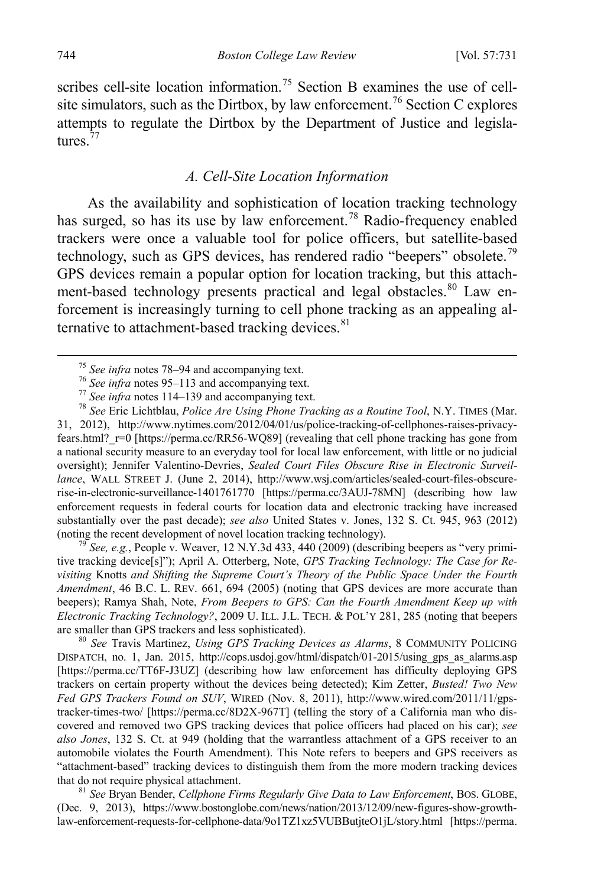scribes cell-site location information.<sup>[75](#page-14-1)</sup> Section B examines the use of cell-site simulators, such as the Dirtbox, by law enforcement.<sup>[76](#page-14-2)</sup> Section C explores attempts to regulate the Dirtbox by the Department of Justice and legisla-tures.<sup>[77](#page-14-3)</sup>

## <span id="page-14-0"></span>*A. Cell-Site Location Information*

As the availability and sophistication of location tracking technology has surged, so has its use by law enforcement.<sup>[78](#page-14-4)</sup> Radio-frequency enabled trackers were once a valuable tool for police officers, but satellite-based technology, such as GPS devices, has rendered radio "beepers" obsolete.<sup>[79](#page-14-5)</sup> GPS devices remain a popular option for location tracking, but this attach-ment-based technology presents practical and legal obstacles.<sup>[80](#page-14-6)</sup> Law enforcement is increasingly turning to cell phone tracking as an appealing alternative to attachment-based tracking devices. $81$ 

<span id="page-14-4"></span><span id="page-14-3"></span><span id="page-14-2"></span><span id="page-14-1"></span><sup>75</sup> See infra notes [78](#page-14-0)[–94](#page-17-0) and accompanying text.<br><sup>76</sup> See infra notes [95](#page-18-0)[–113](#page-21-0) and accompanying text.<br><sup>77</sup> See infra notes [114–](#page-22-0)[139](#page-26-1) and accompanying text.<br><sup>78</sup> See Eric Lichtblau, *Police Are Using Phone Tracking as a Routi* 31, 2012), http://www.nytimes.com/2012/04/01/us/police-tracking-of-cellphones-raises-privacyfears.html? r=0 [https://perma.cc/RR56-WQ89] (revealing that cell phone tracking has gone from a national security measure to an everyday tool for local law enforcement, with little or no judicial oversight); Jennifer Valentino-Devries, *Sealed Court Files Obscure Rise in Electronic Surveillance*, WALL STREET J. (June 2, 2014), http://www.wsj.com/articles/sealed-court-files-obscurerise-in-electronic-surveillance-1401761770 [https://perma.cc/3AUJ-78MN] (describing how law enforcement requests in federal courts for location data and electronic tracking have increased substantially over the past decade); *see also* United States v. Jones, 132 S. Ct. 945, 963 (2012) (noting the recent development of novel location tracking technology).

<span id="page-14-5"></span><sup>79</sup> *See, e.g.*, People v. Weaver, 12 N.Y.3d 433, 440 (2009) (describing beepers as "very primitive tracking device[s]"); April A. Otterberg, Note, *GPS Tracking Technology: The Case for Revisiting* Knotts *and Shifting the Supreme Court's Theory of the Public Space Under the Fourth Amendment*, 46 B.C. L. REV. 661, 694 (2005) (noting that GPS devices are more accurate than beepers); Ramya Shah, Note, *From Beepers to GPS: Can the Fourth Amendment Keep up with Electronic Tracking Technology?*, 2009 U. ILL. J.L. TECH. & POL'Y 281, 285 (noting that beepers are smaller than GPS trackers and less sophisticated).<br><sup>80</sup> *See* Travis Martinez, *Using GPS Tracking Devices as Alarms*, 8 COMMUNITY POLICING

<span id="page-14-6"></span>DISPATCH, no. 1, Jan. 2015, http://cops.usdoj.gov/html/dispatch/01-2015/using\_gps\_as\_alarms.asp [https://perma.cc/TT6F-J3UZ] (describing how law enforcement has difficulty deploying GPS trackers on certain property without the devices being detected); Kim Zetter, *Busted! Two New Fed GPS Trackers Found on SUV*, WIRED (Nov. 8, 2011), http://www.wired.com/2011/11/gpstracker-times-two/ [https://perma.cc/8D2X-967T] (telling the story of a California man who discovered and removed two GPS tracking devices that police officers had placed on his car); *see also Jones*, 132 S. Ct. at 949 (holding that the warrantless attachment of a GPS receiver to an automobile violates the Fourth Amendment). This Note refers to beepers and GPS receivers as "attachment-based" tracking devices to distinguish them from the more modern tracking devices that do not require physical attachment. <sup>81</sup> *See* Bryan Bender, *Cellphone Firms Regularly Give Data to Law Enforcement*, BOS. GLOBE,

<span id="page-14-7"></span>(Dec. 9, 2013), https://www.bostonglobe.com/news/nation/2013/12/09/new-figures-show-growthlaw-enforcement-requests-for-cellphone-data/9o1TZ1xz5VUBButjteO1jL/story.html [https://perma.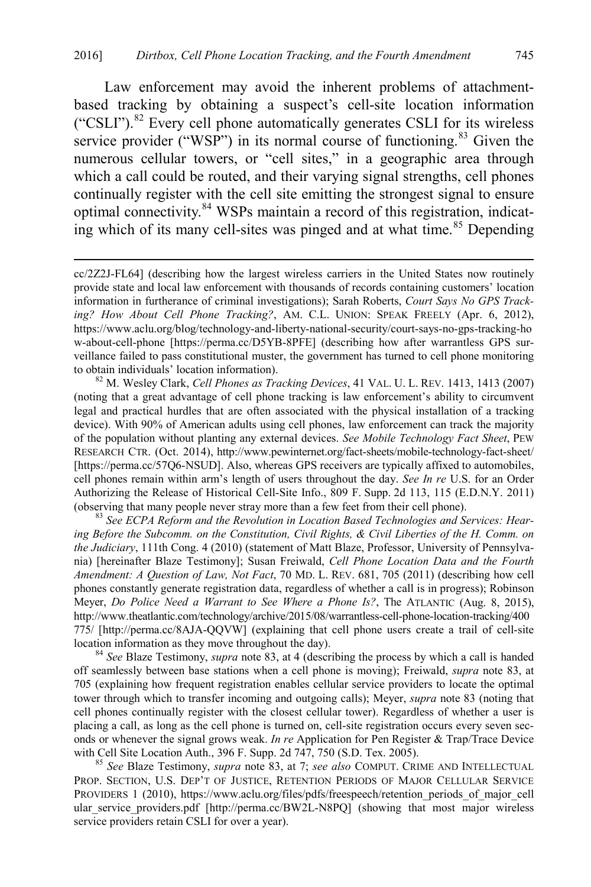<span id="page-15-0"></span>Law enforcement may avoid the inherent problems of attachmentbased tracking by obtaining a suspect's cell-site location information ("CSLI").[82](#page-15-1) Every cell phone automatically generates CSLI for its wireless service provider ("WSP") in its normal course of functioning.<sup>[83](#page-15-2)</sup> Given the numerous cellular towers, or "cell sites," in a geographic area through which a call could be routed, and their varying signal strengths, cell phones continually register with the cell site emitting the strongest signal to ensure optimal connectivity.[84](#page-15-3) WSPs maintain a record of this registration, indicat-ing which of its many cell-sites was pinged and at what time.<sup>[85](#page-15-4)</sup> Depending

<span id="page-15-1"></span>(noting that a great advantage of cell phone tracking is law enforcement's ability to circumvent legal and practical hurdles that are often associated with the physical installation of a tracking device). With 90% of American adults using cell phones, law enforcement can track the majority of the population without planting any external devices. *See Mobile Technology Fact Sheet*, PEW RESEARCH CTR. (Oct. 2014), http://www.pewinternet.org/fact-sheets/mobile-technology-fact-sheet/ [https://perma.cc/57Q6-NSUD]. Also, whereas GPS receivers are typically affixed to automobiles, cell phones remain within arm's length of users throughout the day. *See In re* U.S. for an Order Authorizing the Release of Historical Cell-Site Info., 809 F. Supp. 2d 113, 115 (E.D.N.Y. 2011) (observing that many people never stray more than a few feet from their cell phone). <sup>83</sup> *See ECPA Reform and the Revolution in Location Based Technologies and Services: Hear-*

<span id="page-15-2"></span>*ing Before the Subcomm. on the Constitution, Civil Rights, & Civil Liberties of the H. Comm. on the Judiciary*, 111th Cong. 4 (2010) (statement of Matt Blaze, Professor, University of Pennsylvania) [hereinafter Blaze Testimony]; Susan Freiwald, *Cell Phone Location Data and the Fourth Amendment: A Question of Law, Not Fact*, 70 MD. L. REV. 681, 705 (2011) (describing how cell phones constantly generate registration data, regardless of whether a call is in progress); Robinson Meyer, *Do Police Need a Warrant to See Where a Phone Is?*, The ATLANTIC (Aug. 8, 2015), http://www.theatlantic.com/technology/archive/2015/08/warrantless-cell-phone-location-tracking/400 775/ [http://perma.cc/8AJA-QQVW] (explaining that cell phone users create a trail of cell-site location information as they move throughout the day). <sup>84</sup> *See* Blaze Testimony, *supra* note [83,](#page-15-0) at 4 (describing the process by which a call is handed

<span id="page-15-3"></span>off seamlessly between base stations when a cell phone is moving); Freiwald, *supra* note [83,](#page-15-0) at 705 (explaining how frequent registration enables cellular service providers to locate the optimal tower through which to transfer incoming and outgoing calls); Meyer, *supra* note [83](#page-15-0) (noting that cell phones continually register with the closest cellular tower). Regardless of whether a user is placing a call, as long as the cell phone is turned on, cell-site registration occurs every seven seconds or whenever the signal grows weak. *In re* Application for Pen Register & Trap/Trace Device with Cell Site Location Auth., 396 F. Supp. 2d 747, 750 (S.D. Tex. 2005).<br><sup>85</sup> *See* Blaze Testimony, *supra* note [83,](#page-15-0) at 7; *see also* COMPUT. CRIME AND INTELLECTUAL

<span id="page-15-4"></span>PROP. SECTION, U.S. DEP'T OF JUSTICE, RETENTION PERIODS OF MAJOR CELLULAR SERVICE PROVIDERS 1 (2010), https://www.aclu.org/files/pdfs/freespeech/retention\_periods\_of\_major\_cell ular service providers.pdf [http://perma.cc/BW2L-N8PO] (showing that most major wireless service providers retain CSLI for over a year).

cc/2Z2J-FL64] (describing how the largest wireless carriers in the United States now routinely provide state and local law enforcement with thousands of records containing customers' location information in furtherance of criminal investigations); Sarah Roberts, *Court Says No GPS Tracking? How About Cell Phone Tracking?*, AM. C.L. UNION: SPEAK FREELY (Apr. 6, 2012), https://www.aclu.org/blog/technology-and-liberty-national-security/court-says-no-gps-tracking-ho w-about-cell-phone [https://perma.cc/D5YB-8PFE] (describing how after warrantless GPS surveillance failed to pass constitutional muster, the government has turned to cell phone monitoring to obtain individuals' location information). <sup>82</sup> M. Wesley Clark, *Cell Phones as Tracking Devices*, 41 VAL. U. L. REV. 1413, 1413 (2007)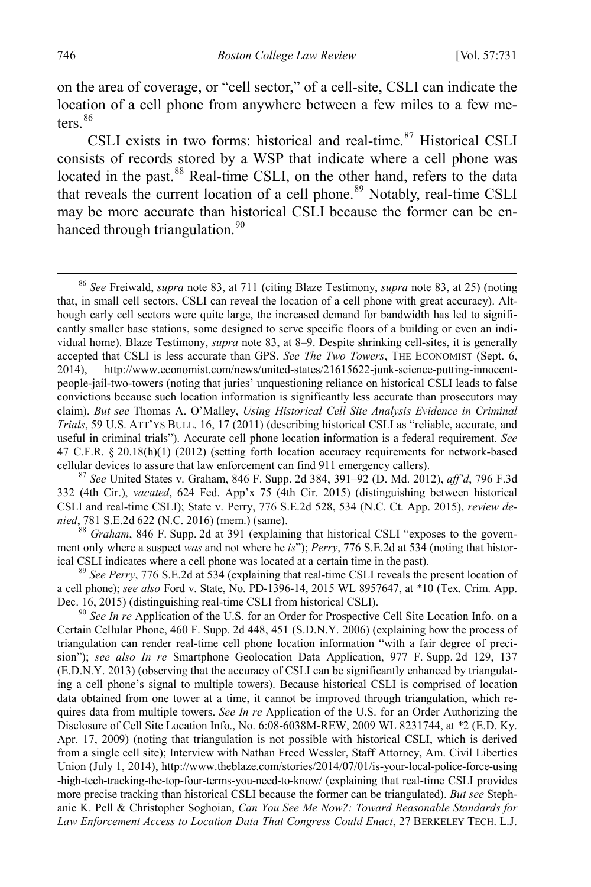on the area of coverage, or "cell sector," of a cell-site, CSLI can indicate the location of a cell phone from anywhere between a few miles to a few meters $86$ 

CSLI exists in two forms: historical and real-time.<sup>[87](#page-16-1)</sup> Historical CSLI consists of records stored by a WSP that indicate where a cell phone was located in the past.<sup>[88](#page-16-2)</sup> Real-time CSLI, on the other hand, refers to the data that reveals the current location of a cell phone.<sup>[89](#page-16-3)</sup> Notably, real-time CSLI may be more accurate than historical CSLI because the former can be en-hanced through triangulation.<sup>[90](#page-16-4)</sup>

<span id="page-16-1"></span>332 (4th Cir.), *vacated*, 624 Fed. App'x 75 (4th Cir. 2015) (distinguishing between historical CSLI and real-time CSLI); State v. Perry, 776 S.E.2d 528, 534 (N.C. Ct. App. 2015), *review denied*, 781 S.E.2d 622 (N.C. 2016) (mem.) (same).<br><sup>88</sup> *Graham*, 846 F. Supp. 2d at 391 (explaining that historical CSLI "exposes to the govern-

<span id="page-16-2"></span>ment only where a suspect *was* and not where he *is*"); *Perry*, 776 S.E.2d at 534 (noting that historical CSLI indicates where a cell phone was located at a certain time in the past).

<span id="page-16-3"></span><sup>89</sup> See Perry, 776 S.E.2d at 534 (explaining that real-time CSLI reveals the present location of a cell phone); *see also* Ford v. State, No. PD-1396-14, 2015 WL 8957647, at \*10 (Tex. Crim. App. Dec. 16, 2015) (distinguishing real-time CSLI from historical CSLI). <sup>90</sup> *See In re* Application of the U.S. for an Order for Prospective Cell Site Location Info. on a

<span id="page-16-4"></span>Certain Cellular Phone, 460 F. Supp. 2d 448, 451 (S.D.N.Y. 2006) (explaining how the process of triangulation can render real-time cell phone location information "with a fair degree of precision"); *see also In re* Smartphone Geolocation Data Application, 977 F. Supp. 2d 129, 137 (E.D.N.Y. 2013) (observing that the accuracy of CSLI can be significantly enhanced by triangulating a cell phone's signal to multiple towers). Because historical CSLI is comprised of location data obtained from one tower at a time, it cannot be improved through triangulation, which requires data from multiple towers. *See In re* Application of the U.S. for an Order Authorizing the Disclosure of Cell Site Location Info., No. 6:08-6038M-REW, 2009 WL 8231744, at \*2 (E.D. Ky. Apr. 17, 2009) (noting that triangulation is not possible with historical CSLI, which is derived from a single cell site); Interview with Nathan Freed Wessler, Staff Attorney, Am. Civil Liberties Union (July 1, 2014), http://www.theblaze.com/stories/2014/07/01/is-your-local-police-force-using -high-tech-tracking-the-top-four-terms-you-need-to-know/ (explaining that real-time CSLI provides more precise tracking than historical CSLI because the former can be triangulated). *But see* Stephanie K. Pell & Christopher Soghoian, *Can You See Me Now?: Toward Reasonable Standards for Law Enforcement Access to Location Data That Congress Could Enact*, 27 BERKELEY TECH. L.J.

<span id="page-16-5"></span><span id="page-16-0"></span> <sup>86</sup> *See* Freiwald, *supra* note [83,](#page-15-0) at 711 (citing Blaze Testimony, *supra* not[e 83,](#page-15-0) at 25) (noting that, in small cell sectors, CSLI can reveal the location of a cell phone with great accuracy). Although early cell sectors were quite large, the increased demand for bandwidth has led to significantly smaller base stations, some designed to serve specific floors of a building or even an individual home). Blaze Testimony, *supra* note [83,](#page-15-0) at 8–9. Despite shrinking cell-sites, it is generally accepted that CSLI is less accurate than GPS. *See The Two Towers*, THE ECONOMIST (Sept. 6, 2014), http://www.economist.com/news/united-states/21615622-junk-science-putting-innocentpeople-jail-two-towers (noting that juries' unquestioning reliance on historical CSLI leads to false convictions because such location information is significantly less accurate than prosecutors may claim). *But see* Thomas A. O'Malley, *Using Historical Cell Site Analysis Evidence in Criminal Trials*, 59 U.S. ATT'YS BULL. 16, 17 (2011) (describing historical CSLI as "reliable, accurate, and useful in criminal trials"). Accurate cell phone location information is a federal requirement. *See* 47 C.F.R. § 20.18(h)(1) (2012) (setting forth location accuracy requirements for network-based cellular devices to assure that law enforcement can find 911 emergency callers). <sup>87</sup> *See* United States v. Graham, 846 F. Supp. 2d 384, 391–92 (D. Md. 2012), *aff'd*, 796 F.3d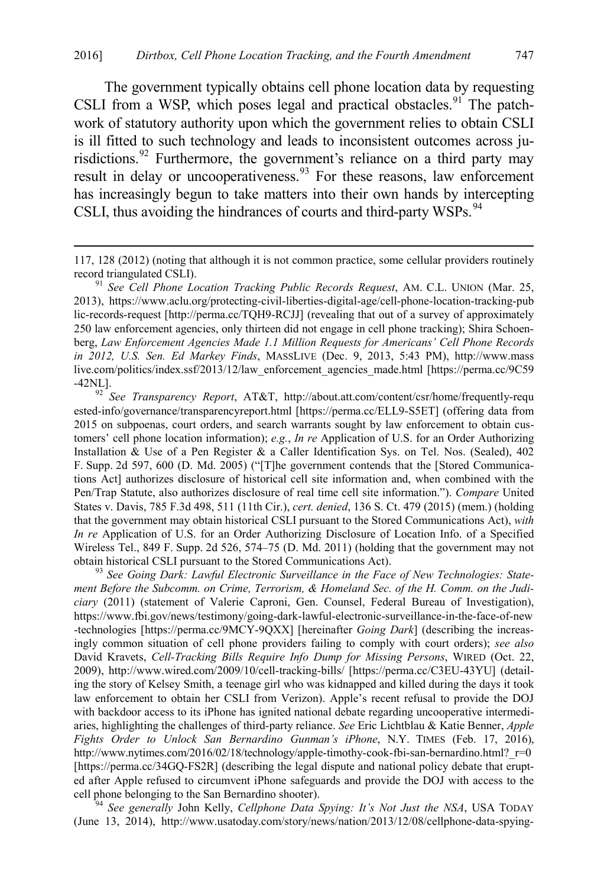The government typically obtains cell phone location data by requesting CSLI from a WSP, which poses legal and practical obstacles.<sup>[91](#page-17-1)</sup> The patchwork of statutory authority upon which the government relies to obtain CSLI is ill fitted to such technology and leads to inconsistent outcomes across ju-risdictions.<sup>[92](#page-17-2)</sup> Furthermore, the government's reliance on a third party may result in delay or uncooperativeness.<sup>[93](#page-17-3)</sup> For these reasons, law enforcement has increasingly begun to take matters into their own hands by intercepting CSLI, thus avoiding the hindrances of courts and third-party WSPs.<sup>[94](#page-17-4)</sup>

<span id="page-17-1"></span>2013), https://www.aclu.org/protecting-civil-liberties-digital-age/cell-phone-location-tracking-pub lic-records-request [http://perma.cc/TQH9-RCJJ] (revealing that out of a survey of approximately 250 law enforcement agencies, only thirteen did not engage in cell phone tracking); Shira Schoenberg, *Law Enforcement Agencies Made 1.1 Million Requests for Americans' Cell Phone Records in 2012, U.S. Sen. Ed Markey Finds*, MASSLIVE (Dec. 9, 2013, 5:43 PM), http://www.mass live.com/politics/index.ssf/2013/12/law\_enforcement\_agencies\_made.html [https://perma.cc/9C59 -42NL]. 92 *See Transparency Report*, AT&T, http://about.att.com/content/csr/home/frequently-requ

<span id="page-17-2"></span>ested-info/governance/transparencyreport.html [https://perma.cc/ELL9-S5ET] (offering data from 2015 on subpoenas, court orders, and search warrants sought by law enforcement to obtain customers' cell phone location information); *e.g.*, *In re* Application of U.S. for an Order Authorizing Installation & Use of a Pen Register & a Caller Identification Sys. on Tel. Nos. (Sealed), 402 F. Supp. 2d 597, 600 (D. Md. 2005) ("[T]he government contends that the [Stored Communications Act] authorizes disclosure of historical cell site information and, when combined with the Pen/Trap Statute, also authorizes disclosure of real time cell site information."). *Compare* United States v. Davis, 785 F.3d 498, 511 (11th Cir.), *cert. denied*, 136 S. Ct. 479 (2015) (mem.) (holding that the government may obtain historical CSLI pursuant to the Stored Communications Act), *with In re* Application of U.S. for an Order Authorizing Disclosure of Location Info. of a Specified Wireless Tel., 849 F. Supp. 2d 526, 574–75 (D. Md. 2011) (holding that the government may not obtain historical CSLI pursuant to the Stored Communications Act). <sup>93</sup> *See Going Dark: Lawful Electronic Surveillance in the Face of New Technologies: State-*

<span id="page-17-3"></span>*ment Before the Subcomm. on Crime, Terrorism, & Homeland Sec. of the H. Comm. on the Judiciary* (2011) (statement of Valerie Caproni, Gen. Counsel, Federal Bureau of Investigation), https://www.fbi.gov/news/testimony/going-dark-lawful-electronic-surveillance-in-the-face-of-new -technologies [https://perma.cc/9MCY-9QXX] [hereinafter *Going Dark*] (describing the increasingly common situation of cell phone providers failing to comply with court orders); *see also* David Kravets, *Cell-Tracking Bills Require Info Dump for Missing Persons*, WIRED (Oct. 22, 2009), http://www.wired.com/2009/10/cell-tracking-bills/ [https://perma.cc/C3EU-43YU] (detailing the story of Kelsey Smith, a teenage girl who was kidnapped and killed during the days it took law enforcement to obtain her CSLI from Verizon). Apple's recent refusal to provide the DOJ with backdoor access to its iPhone has ignited national debate regarding uncooperative intermediaries, highlighting the challenges of third-party reliance. *See* Eric Lichtblau & Katie Benner, *Apple Fights Order to Unlock San Bernardino Gunman's iPhone*, N.Y. TIMES (Feb. 17, 2016), http://www.nytimes.com/2016/02/18/technology/apple-timothy-cook-fbi-san-bernardino.html? $r=0$ [https://perma.cc/34GQ-FS2R] (describing the legal dispute and national policy debate that erupted after Apple refused to circumvent iPhone safeguards and provide the DOJ with access to the cell phone belonging to the San Bernardino shooter). 94 *See generally* John Kelly, *Cellphone Data Spying: It's Not Just the NSA*, USA TODAY

<span id="page-17-4"></span>(June 13, 2014), http://www.usatoday.com/story/news/nation/2013/12/08/cellphone-data-spying-

<span id="page-17-5"></span><span id="page-17-0"></span> <sup>117, 128 (2012) (</sup>noting that although it is not common practice, some cellular providers routinely record triangulated CSLI). <sup>91</sup> *See Cell Phone Location Tracking Public Records Request*, AM. C.L. UNION (Mar. 25,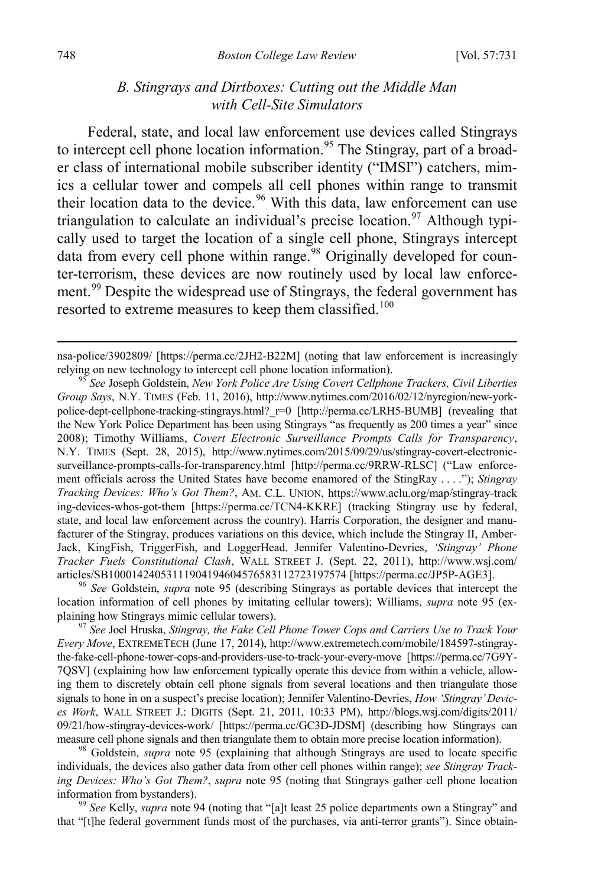### <span id="page-18-7"></span><span id="page-18-0"></span>*B. Stingrays and Dirtboxes: Cutting out the Middle Man with Cell-Site Simulators*

Federal, state, and local law enforcement use devices called Stingrays to intercept cell phone location information.<sup>[95](#page-18-1)</sup> The Stingray, part of a broader class of international mobile subscriber identity ("IMSI") catchers, mimics a cellular tower and compels all cell phones within range to transmit their location data to the device.<sup>[96](#page-18-2)</sup> With this data, law enforcement can use triangulation to calculate an individual's precise  $\alpha$  location.<sup>97</sup> Although typically used to target the location of a single cell phone, Stingrays intercept data from every cell phone within range.<sup>[98](#page-18-4)</sup> Originally developed for counter-terrorism, these devices are now routinely used by local law enforce-ment.<sup>[99](#page-18-5)</sup> Despite the widespread use of Stingrays, the federal government has resorted to extreme measures to keep them classified.<sup>[100](#page-18-6)</sup>

<span id="page-18-2"></span>location information of cell phones by imitating cellular towers); Williams, *supra* note [95](#page-18-0) (ex-

<span id="page-18-3"></span><sup>97</sup> See Joel Hruska, *Stingray, the Fake Cell Phone Tower Cops and Carriers Use to Track Your Every Move*, EXTREMETECH (June 17, 2014), http://www.extremetech.com/mobile/184597-stingraythe-fake-cell-phone-tower-cops-and-providers-use-to-track-your-every-move [https://perma.cc/7G9Y-7QSV] (explaining how law enforcement typically operate this device from within a vehicle, allowing them to discretely obtain cell phone signals from several locations and then triangulate those signals to hone in on a suspect's precise location); Jennifer Valentino-Devries, *How 'Stingray' Devices Work*, WALL STREET J.: DIGITS (Sept. 21, 2011, 10:33 PM), http://blogs.wsj.com/digits/2011/ 09/21/how-stingray-devices-work/ [https://perma.cc/GC3D-JDSM] (describing how Stingrays can measure cell phone signals and then triangulate them to obtain more precise location information).

<span id="page-18-4"></span><sup>98</sup> Goldstein, *supra* note [95](#page-18-0) (explaining that although Stingrays are used to locate specific individuals, the devices also gather data from other cell phones within range); *see Stingray Tracking Devices: Who's Got Them?*, *supra* note [95](#page-18-0) (noting that Stingrays gather cell phone location information from bystanders). <sup>99</sup> *See* Kelly, *supra* not[e 94](#page-17-0) (noting that "[a]t least 25 police departments own a Stingray" and

<span id="page-18-5"></span>that "[t]he federal government funds most of the purchases, via anti-terror grants"). Since obtain-

nsa-police/3902809/ [https://perma.cc/2JH2-B22M] (noting that law enforcement is increasingly relying on new technology to intercept cell phone location information).

<span id="page-18-6"></span><span id="page-18-1"></span><sup>&</sup>lt;sup>95</sup> See Joseph Goldstein, *New York Police Are Using Covert Cellphone Trackers, Civil Liberties Group Says*, N.Y. TIMES (Feb. 11, 2016), http://www.nytimes.com/2016/02/12/nyregion/new-yorkpolice-dept-cellphone-tracking-stingrays.html? r=0 [http://perma.cc/LRH5-BUMB] (revealing that the New York Police Department has been using Stingrays "as frequently as 200 times a year" since 2008); Timothy Williams, *Covert Electronic Surveillance Prompts Calls for Transparency*, N.Y. TIMES (Sept. 28, 2015), http://www.nytimes.com/2015/09/29/us/stingray-covert-electronicsurveillance-prompts-calls-for-transparency.html [http://perma.cc/9RRW-RLSC] ("Law enforcement officials across the United States have become enamored of the StingRay . . . ."); *Stingray Tracking Devices: Who's Got Them?*, AM. C.L. UNION, https://www.aclu.org/map/stingray-track ing-devices-whos-got-them [https://perma.cc/TCN4-KKRE] (tracking Stingray use by federal, state, and local law enforcement across the country). Harris Corporation, the designer and manufacturer of the Stingray, produces variations on this device, which include the Stingray II, Amber-Jack, KingFish, TriggerFish, and LoggerHead. Jennifer Valentino-Devries, *'Stingray' Phone Tracker Fuels Constitutional Clash*, WALL STREET J. (Sept. 22, 2011), http://www.wsj.com/ articles/SB10001424053111904194604576583112723197574 [https://perma.cc/JP5P-AGE3]. 96 *See* Goldstein, *supra* note [95](#page-18-0) (describing Stingrays as portable devices that intercept the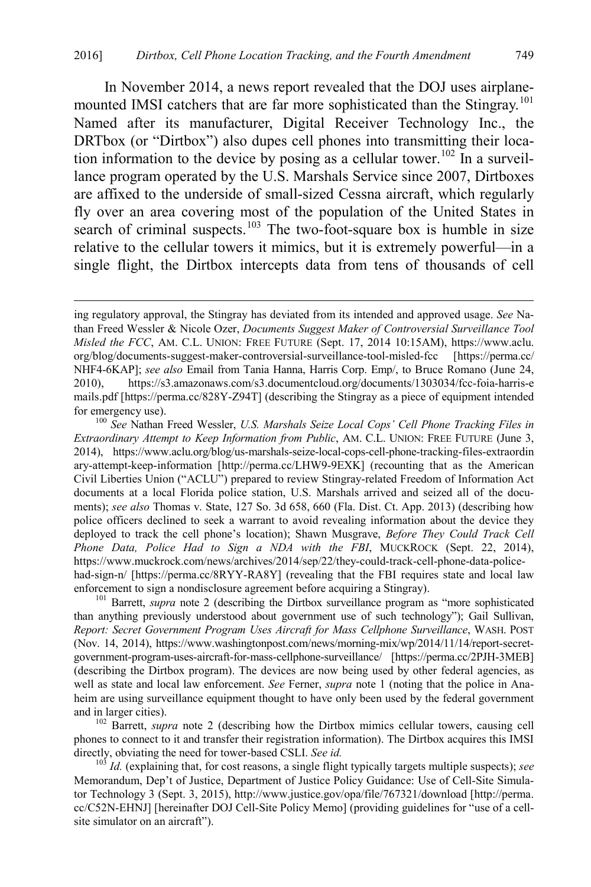In November 2014, a news report revealed that the DOJ uses airplane-mounted IMSI catchers that are far more sophisticated than the Stingray.<sup>[101](#page-19-0)</sup> Named after its manufacturer, Digital Receiver Technology Inc., the DRTbox (or "Dirtbox") also dupes cell phones into transmitting their loca-tion information to the device by posing as a cellular tower.<sup>[102](#page-19-1)</sup> In a surveillance program operated by the U.S. Marshals Service since 2007, Dirtboxes are affixed to the underside of small-sized Cessna aircraft, which regularly fly over an area covering most of the population of the United States in search of criminal suspects.<sup>[103](#page-19-2)</sup> The two-foot-square box is humble in size relative to the cellular towers it mimics, but it is extremely powerful—in a single flight, the Dirtbox intercepts data from tens of thousands of cell

<span id="page-19-0"></span>than anything previously understood about government use of such technology"); Gail Sullivan, *Report: Secret Government Program Uses Aircraft for Mass Cellphone Surveillance*, WASH. POST (Nov. 14, 2014), https://www.washingtonpost.com/news/morning-mix/wp/2014/11/14/report-secretgovernment-program-uses-aircraft-for-mass-cellphone-surveillance/ [https://perma.cc/2PJH-3MEB] (describing the Dirtbox program). The devices are now being used by other federal agencies, as well as state and local law enforcement. *See* Ferner, *supra* note [1](#page-1-1) (noting that the police in Anaheim are using surveillance equipment thought to have only been used by the federal government and in larger cities).<br><sup>102</sup> Barrett, *supra* note [2](#page-2-0) (describing how the Dirtbox mimics cellular towers, causing cell

<span id="page-19-1"></span>phones to connect to it and transfer their registration information). The Dirtbox acquires this IMSI directly, obviating the need for tower-based CSLI. See id.

<span id="page-19-2"></span><sup>103</sup> *Id.* (explaining that, for cost reasons, a single flight typically targets multiple suspects); see Memorandum, Dep't of Justice, Department of Justice Policy Guidance: Use of Cell-Site Simulator Technology 3 (Sept. 3, 2015), http://www.justice.gov/opa/file/767321/download [http://perma. cc/C52N-EHNJ] [hereinafter DOJ Cell-Site Policy Memo] (providing guidelines for "use of a cellsite simulator on an aircraft").

<span id="page-19-3"></span>ing regulatory approval, the Stingray has deviated from its intended and approved usage. *See* Nathan Freed Wessler & Nicole Ozer, *Documents Suggest Maker of Controversial Surveillance Tool Misled the FCC*, AM. C.L. UNION: FREE FUTURE (Sept. 17, 2014 10:15AM), https://www.aclu. org/blog/documents-suggest-maker-controversial-surveillance-tool-misled-fcc [https://perma.cc/ NHF4-6KAP]; *see also* Email from Tania Hanna, Harris Corp. Emp/, to Bruce Romano (June 24, 2010), https://s3.amazonaws.com/s3.documentcloud.org/documents/1303034/fcc-foia-harris-e mails.pdf [https://perma.cc/828Y-Z94T] (describing the Stingray as a piece of equipment intended for emergency use). <sup>100</sup> *See* Nathan Freed Wessler, *U.S. Marshals Seize Local Cops' Cell Phone Tracking Files in* 

*Extraordinary Attempt to Keep Information from Public*, AM. C.L. UNION: FREE FUTURE (June 3, 2014), https://www.aclu.org/blog/us-marshals-seize-local-cops-cell-phone-tracking-files-extraordin ary-attempt-keep-information [http://perma.cc/LHW9-9EXK] (recounting that as the American Civil Liberties Union ("ACLU") prepared to review Stingray-related Freedom of Information Act documents at a local Florida police station, U.S. Marshals arrived and seized all of the documents); *see also* Thomas v. State, 127 So. 3d 658, 660 (Fla. Dist. Ct. App. 2013) (describing how police officers declined to seek a warrant to avoid revealing information about the device they deployed to track the cell phone's location); Shawn Musgrave, *Before They Could Track Cell Phone Data, Police Had to Sign a NDA with the FBI*, MUCKROCK (Sept. 22, 2014), https://www.muckrock.com/news/archives/2014/sep/22/they-could-track-cell-phone-data-policehad-sign-n/ [https://perma.cc/8RYY-RA8Y] (revealing that the FBI requires state and local law enforcement to sign a nondisclosure agreement before acquiring a Stingray).<br><sup>101</sup> Barrett, *supra* note [2](#page-2-0) (describing the Dirtbox surveillance program as "more sophisticated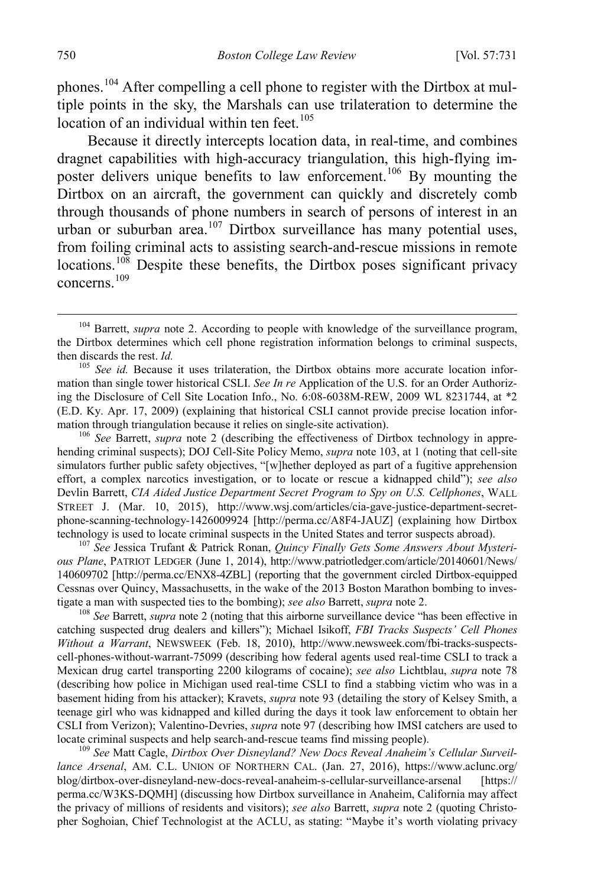phones.<sup>104</sup> After compelling a cell phone to register with the Dirtbox at multiple points in the sky, the Marshals can use trilateration to determine the location of an individual within ten feet.<sup>[105](#page-20-1)</sup>

Because it directly intercepts location data, in real-time, and combines dragnet capabilities with high-accuracy triangulation, this high-flying im-poster delivers unique benefits to law enforcement.<sup>[106](#page-20-2)</sup> By mounting the Dirtbox on an aircraft, the government can quickly and discretely comb through thousands of phone numbers in search of persons of interest in an urban or suburban area.<sup>[107](#page-20-3)</sup> Dirtbox surveillance has many potential uses, from foiling criminal acts to assisting search-and-rescue missions in remote locations.<sup>[108](#page-20-4)</sup> Despite these benefits, the Dirtbox poses significant privacy concerns.[109](#page-20-5)

<span id="page-20-2"></span>hending criminal suspects); DOJ Cell-Site Policy Memo, *supra* note [103,](#page-19-3) at 1 (noting that cell-site simulators further public safety objectives, "[w]hether deployed as part of a fugitive apprehension effort, a complex narcotics investigation, or to locate or rescue a kidnapped child"); *see also* Devlin Barrett, *CIA Aided Justice Department Secret Program to Spy on U.S. Cellphones*, WALL STREET J. (Mar. 10, 2015), http://www.wsj.com/articles/cia-gave-justice-department-secretphone-scanning-technology-1426009924 [http://perma.cc/A8F4-JAUZ] (explaining how Dirtbox technology is used to locate criminal suspects in the United States and terror suspects abroad).

<span id="page-20-3"></span><sup>107</sup> See Jessica Trufant & Patrick Ronan, *Quincy Finally Gets Some Answers About Mysterious Plane*, PATRIOT LEDGER (June 1, 2014), http://www.patriotledger.com/article/20140601/News/ 140609702 [http://perma.cc/ENX8-4ZBL] (reporting that the government circled Dirtbox-equipped Cessnas over Quincy, Massachusetts, in the wake of the 2013 Boston Marathon bombing to investigate a man with suspected ties to the bombing); *see also* Barrett, *supra* note [2.](#page-2-0)<br><sup>108</sup> *See* Barrett, *supra* not[e 2](#page-2-0) (noting that this airborne surveillance device "has been effective in

<span id="page-20-4"></span>catching suspected drug dealers and killers"); Michael Isikoff, *FBI Tracks Suspects' Cell Phones Without a Warrant*, NEWSWEEK (Feb. 18, 2010), http://www.newsweek.com/fbi-tracks-suspectscell-phones-without-warrant-75099 (describing how federal agents used real-time CSLI to track a Mexican drug cartel transporting 2200 kilograms of cocaine); *see also* Lichtblau, *supra* note [78](#page-14-0) (describing how police in Michigan used real-time CSLI to find a stabbing victim who was in a basement hiding from his attacker); Kravets, *supra* note [93](#page-17-5) (detailing the story of Kelsey Smith, a teenage girl who was kidnapped and killed during the days it took law enforcement to obtain her CSLI from Verizon); Valentino-Devries, *supra* note [97](#page-18-7) (describing how IMSI catchers are used to locate criminal suspects and help search-and-rescue teams find missing people).

<span id="page-20-5"></span><sup>109</sup> See Matt Cagle, *Dirtbox Over Disneyland? New Docs Reveal Anaheim's Cellular Surveillance Arsenal*, AM. C.L. UNION OF NORTHERN CAL. (Jan. 27, 2016), https://www.aclunc.org/ blog/dirtbox-over-disneyland-new-docs-reveal-anaheim-s-cellular-surveillance-arsenal [https:// perma.cc/W3KS-DQMH] (discussing how Dirtbox surveillance in Anaheim, California may affect the privacy of millions of residents and visitors); *see also* Barrett, *supra* note [2](#page-2-0) (quoting Christopher Soghoian, Chief Technologist at the ACLU, as stating: "Maybe it's worth violating privacy

<span id="page-20-6"></span><span id="page-20-0"></span><sup>&</sup>lt;sup>104</sup> Barrett, *supra* note [2.](#page-2-0) According to people with knowledge of the surveillance program, the Dirtbox determines which cell phone registration information belongs to criminal suspects, then discards the rest. *Id.* 105 *See id.* Because it uses trilateration, the Dirtbox obtains more accurate location infor-

<span id="page-20-1"></span>mation than single tower historical CSLI. *See In re* Application of the U.S. for an Order Authorizing the Disclosure of Cell Site Location Info., No. 6:08-6038M-REW, 2009 WL 8231744, at \*2 (E.D. Ky. Apr. 17, 2009) (explaining that historical CSLI cannot provide precise location information through triangulation because it relies on single-site activation).<br><sup>106</sup> *See* Barrett, *supra* note [2](#page-2-0) (describing the effectiveness of Dirtbox technology in appre-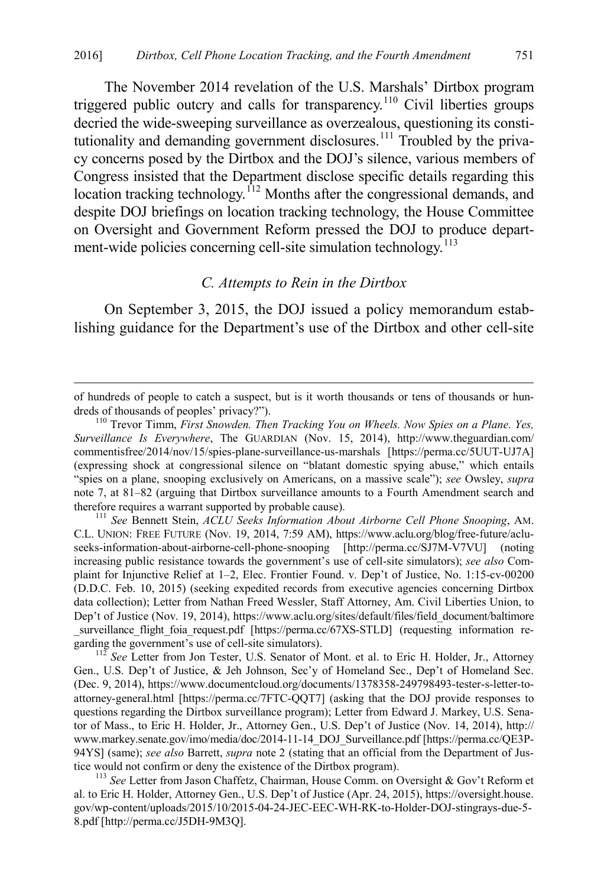The November 2014 revelation of the U.S. Marshals' Dirtbox program triggered public outcry and calls for transparency.<sup>[110](#page-21-1)</sup> Civil liberties groups decried the wide-sweeping surveillance as overzealous, questioning its consti-tutionality and demanding government disclosures.<sup>[111](#page-21-2)</sup> Troubled by the privacy concerns posed by the Dirtbox and the DOJ's silence, various members of Congress insisted that the Department disclose specific details regarding this location tracking technology.<sup>[112](#page-21-3)</sup> Months after the congressional demands, and despite DOJ briefings on location tracking technology, the House Committee on Oversight and Government Reform pressed the DOJ to produce depart-ment-wide policies concerning cell-site simulation technology.<sup>[113](#page-21-4)</sup>

#### <span id="page-21-0"></span>*C. Attempts to Rein in the Dirtbox*

On September 3, 2015, the DOJ issued a policy memorandum establishing guidance for the Department's use of the Dirtbox and other cell-site

<span id="page-21-2"></span>C.L. UNION: FREE FUTURE (Nov. 19, 2014, 7:59 AM), https://www.aclu.org/blog/free-future/acluseeks-information-about-airborne-cell-phone-snooping [http://perma.cc/SJ7M-V7VU] (noting increasing public resistance towards the government's use of cell-site simulators); *see also* Complaint for Injunctive Relief at 1–2, Elec. Frontier Found. v. Dep't of Justice, No. 1:15-cv-00200 (D.D.C. Feb. 10, 2015) (seeking expedited records from executive agencies concerning Dirtbox data collection); Letter from Nathan Freed Wessler, Staff Attorney, Am. Civil Liberties Union, to Dep't of Justice (Nov. 19, 2014), https://www.aclu.org/sites/default/files/field\_document/baltimore \_surveillance\_flight\_foia\_request.pdf [https://perma.cc/67XS-STLD] (requesting information re-

<span id="page-21-3"></span><sup>112</sup> See Letter from Jon Tester, U.S. Senator of Mont. et al. to Eric H. Holder, Jr., Attorney Gen., U.S. Dep't of Justice, & Jeh Johnson, Sec'y of Homeland Sec., Dep't of Homeland Sec. (Dec. 9, 2014), https://www.documentcloud.org/documents/1378358-249798493-tester-s-letter-toattorney-general.html [https://perma.cc/7FTC-QQT7] (asking that the DOJ provide responses to questions regarding the Dirtbox surveillance program); Letter from Edward J. Markey, U.S. Senator of Mass., to Eric H. Holder, Jr., Attorney Gen., U.S. Dep't of Justice (Nov. 14, 2014), http:// www.markey.senate.gov/imo/media/doc/2014-11-14\_DOJ\_Surveillance.pdf [https://perma.cc/QE3P-94YS] (same); *see also* Barrett, *supra* note [2](#page-2-0) (stating that an official from the Department of Justice would not confirm or deny the existence of the Dirtbox program). <sup>113</sup> *See* Letter from Jason Chaffetz, Chairman, House Comm. on Oversight & Gov't Reform et

<span id="page-21-4"></span>al. to Eric H. Holder, Attorney Gen., U.S. Dep't of Justice (Apr. 24, 2015), https://oversight.house. gov/wp-content/uploads/2015/10/2015-04-24-JEC-EEC-WH-RK-to-Holder-DOJ-stingrays-due-5- 8.pdf [http://perma.cc/J5DH-9M3Q].

of hundreds of people to catch a suspect, but is it worth thousands or tens of thousands or hundreds of thousands of peoples' privacy?").

<span id="page-21-1"></span><sup>&</sup>lt;sup>110</sup> Trevor Timm, *First Snowden. Then Tracking You on Wheels. Now Spies on a Plane. Yes, Surveillance Is Everywhere*, The GUARDIAN (Nov. 15, 2014), http://www.theguardian.com/ commentisfree/2014/nov/15/spies-plane-surveillance-us-marshals [https://perma.cc/5UUT-UJ7A] (expressing shock at congressional silence on "blatant domestic spying abuse," which entails "spies on a plane, snooping exclusively on Americans, on a massive scale"); *see* Owsley, *supra*  note [7,](#page-3-7) at 81–82 (arguing that Dirtbox surveillance amounts to a Fourth Amendment search and therefore requires a warrant supported by probable cause). <sup>111</sup> *See* Bennett Stein, *ACLU Seeks Information About Airborne Cell Phone Snooping*, AM.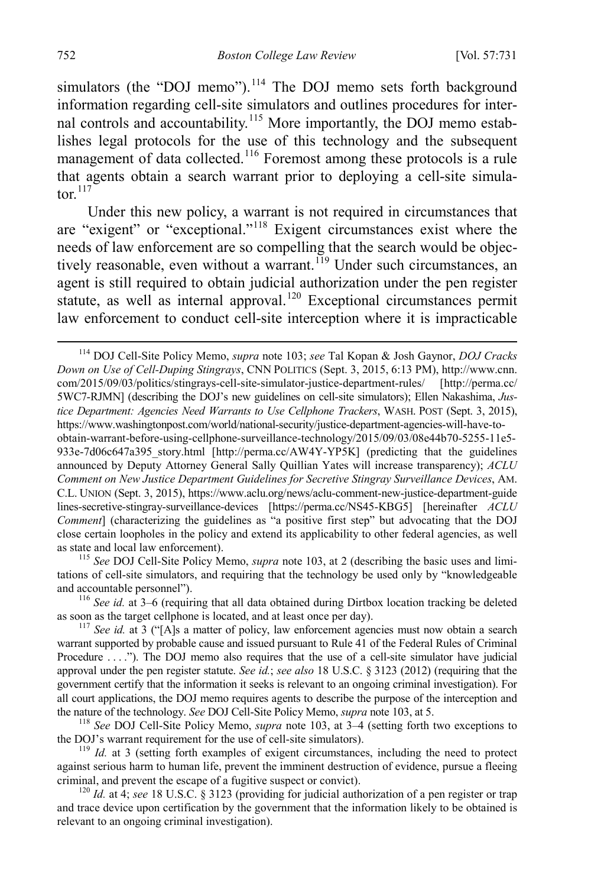<span id="page-22-0"></span>simulators (the "DOJ memo").<sup>[114](#page-22-1)</sup> The DOJ memo sets forth background information regarding cell-site simulators and outlines procedures for internal controls and accountability.[115](#page-22-2) More importantly, the DOJ memo establishes legal protocols for the use of this technology and the subsequent management of data collected.<sup>[116](#page-22-3)</sup> Foremost among these protocols is a rule that agents obtain a search warrant prior to deploying a cell-site simulator $117$ 

Under this new policy, a warrant is not required in circumstances that are "exigent" or "exceptional."[118](#page-22-5) Exigent circumstances exist where the needs of law enforcement are so compelling that the search would be objec-tively reasonable, even without a warrant.<sup>[119](#page-22-6)</sup> Under such circumstances, an agent is still required to obtain judicial authorization under the pen register statute, as well as internal approval.<sup>[120](#page-22-7)</sup> Exceptional circumstances permit law enforcement to conduct cell-site interception where it is impracticable

<span id="page-22-2"></span>as state and local law enforcement). 115 *See* DOJ Cell-Site Policy Memo, *supra* note [103,](#page-19-3) at 2 (describing the basic uses and limitations of cell-site simulators, and requiring that the technology be used only by "knowledgeable

<span id="page-22-3"></span>and accountable personnel").<br><sup>116</sup> *See id.* at 3–6 (requiring that all data obtained during Dirtbox location tracking be deleted as soon as the target cellphone is located, and at least once per day).

<span id="page-22-1"></span> <sup>114</sup> DOJ Cell-Site Policy Memo, *supra* note [103;](#page-19-3) *see* Tal Kopan & Josh Gaynor, *DOJ Cracks Down on Use of Cell-Duping Stingrays*, CNN POLITICS (Sept. 3, 2015, 6:13 PM), http://www.cnn. com/2015/09/03/politics/stingrays-cell-site-simulator-justice-department-rules/ [http://perma.cc/ 5WC7-RJMN] (describing the DOJ's new guidelines on cell-site simulators); Ellen Nakashima, *Justice Department: Agencies Need Warrants to Use Cellphone Trackers*, WASH. POST (Sept. 3, 2015), https://www.washingtonpost.com/world/national-security/justice-department-agencies-will-have-toobtain-warrant-before-using-cellphone-surveillance-technology/2015/09/03/08e44b70-5255-11e5- 933e-7d06c647a395\_story.html [http://perma.cc/AW4Y-YP5K] (predicting that the guidelines announced by Deputy Attorney General Sally Quillian Yates will increase transparency); *ACLU Comment on New Justice Department Guidelines for Secretive Stingray Surveillance Devices*, AM. C.L. UNION (Sept. 3, 2015), https://www.aclu.org/news/aclu-comment-new-justice-department-guide lines-secretive-stingray-surveillance-devices [https://perma.cc/NS45-KBG5] [hereinafter *ACLU Comment*] (characterizing the guidelines as "a positive first step" but advocating that the DOJ close certain loopholes in the policy and extend its applicability to other federal agencies, as well

<span id="page-22-4"></span> $117$  *See id.* at 3 ("[A]s a matter of policy, law enforcement agencies must now obtain a search warrant supported by probable cause and issued pursuant to Rule 41 of the Federal Rules of Criminal Procedure . . . ."). The DOJ memo also requires that the use of a cell-site simulator have judicial approval under the pen register statute. *See id.*; *see also* 18 U.S.C. § 3123 (2012) (requiring that the government certify that the information it seeks is relevant to an ongoing criminal investigation). For all court applications, the DOJ memo requires agents to describe the purpose of the interception and

<span id="page-22-5"></span>the nature of the technology. *See* DOJ Cell-Site Policy Memo, *supra* not[e 103,](#page-19-3) at 5.<br><sup>118</sup> *See* DOJ Cell-Site Policy Memo, *supra* note [103,](#page-19-3) at 3–4 (setting forth two exceptions to the DOJ's warrant requirement for the

<span id="page-22-6"></span> $t_1$ <sup>119</sup> *Id.* at 3 (setting forth examples of exigent circumstances, including the need to protect against serious harm to human life, prevent the imminent destruction of evidence, pursue a fleeing criminal, and prevent the escape of a fugitive suspect or convict).

<span id="page-22-7"></span> $^{120}$  *Id.* at 4; *see* 18 U.S.C. § 3123 (providing for judicial authorization of a pen register or trap and trace device upon certification by the government that the information likely to be obtained is relevant to an ongoing criminal investigation).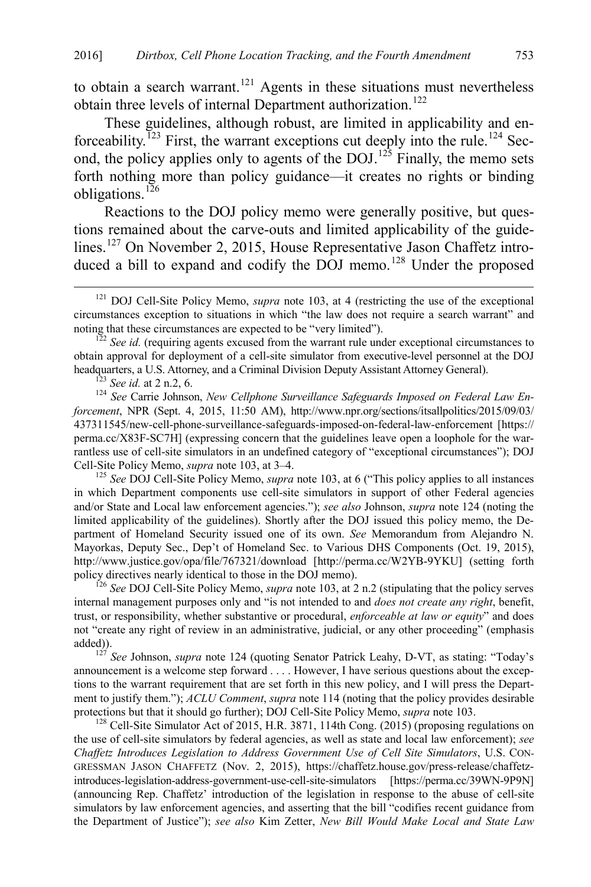to obtain a search warrant.<sup>[121](#page-23-1)</sup> Agents in these situations must nevertheless obtain three levels of internal Department authorization.<sup>[122](#page-23-2)</sup>

<span id="page-23-0"></span>These guidelines, although robust, are limited in applicability and enforceability.<sup> $123$ </sup> First, the warrant exceptions cut deeply into the rule.<sup>[124](#page-23-4)</sup> Second, the policy applies only to agents of the  $DOJ<sup>125</sup>$  $DOJ<sup>125</sup>$  $DOJ<sup>125</sup>$  Finally, the memo sets forth nothing more than policy guidance—it creates no rights or binding obligations.<sup>126</sup>

Reactions to the DOJ policy memo were generally positive, but questions remained about the carve-outs and limited applicability of the guide-lines.<sup>[127](#page-23-7)</sup> On November 2, 2015, House Representative Jason Chaffetz intro-duced a bill to expand and codify the DOJ memo.<sup>[128](#page-23-8)</sup> Under the proposed

<span id="page-23-2"></span> $\frac{\delta^2}{\delta^2}$  *See id.* (requiring agents excused from the warrant rule under exceptional circumstances to obtain approval for deployment of a cell-site simulator from executive-level personnel at the DOJ headquarters, a U.S. Attorney, and a Criminal Division Deputy Assistant Attorney General).

<span id="page-23-4"></span><span id="page-23-3"></span> $^{123}$  See id. at 2 n.2, 6.<br> $^{124}$  See Carrie Johnson, New Cellphone Surveillance Safeguards Imposed on Federal Law En*forcement*, NPR (Sept. 4, 2015, 11:50 AM), http://www.npr.org/sections/itsallpolitics/2015/09/03/ 437311545/new-cell-phone-surveillance-safeguards-imposed-on-federal-law-enforcement [https:// perma.cc/X83F-SC7H] (expressing concern that the guidelines leave open a loophole for the warrantless use of cell-site simulators in an undefined category of "exceptional circumstances"); DOJ<br>Cell-Site Policy Memo, *supra* note 103, at 3–4.

<span id="page-23-5"></span><sup>125</sup> See DOJ Cell-Site Policy Memo, *supra* note [103,](#page-19-3) at 6 ("This policy applies to all instances" in which Department components use cell-site simulators in support of other Federal agencies and/or State and Local law enforcement agencies."); *see also* Johnson, *supra* not[e 124 \(](#page-23-0)noting the limited applicability of the guidelines). Shortly after the DOJ issued this policy memo, the Department of Homeland Security issued one of its own. *See* Memorandum from Alejandro N. Mayorkas, Deputy Sec., Dep't of Homeland Sec. to Various DHS Components (Oct. 19, 2015), http://www.justice.gov/opa/file/767321/download [http://perma.cc/W2YB-9YKU] (setting forth policy directives nearly identical to those in the DOJ memo).

<span id="page-23-6"></span><sup>126</sup> See DOJ Cell-Site Policy Memo, *supra* note [103,](#page-19-3) at 2 n.2 (stipulating that the policy serves internal management purposes only and "is not intended to and *does not create any right*, benefit, trust, or responsibility, whether substantive or procedural, *enforceable at law or equity*" and does not "create any right of review in an administrative, judicial, or any other proceeding" (emphasis added)). 127 *See* Johnson, *supra* note [124](#page-23-0) (quoting Senator Patrick Leahy, D-VT, as stating: "Today's

<span id="page-23-7"></span>announcement is a welcome step forward . . . . However, I have serious questions about the exceptions to the warrant requirement that are set forth in this new policy, and I will press the Department to justify them."); *ACLU Comment*, *supra* not[e 114](#page-22-0) (noting that the policy provides desirable protections but that it should go further); DOJ Cell-Site Policy Memo, *supra* note 103.<br><sup>128</sup> Cell-Site Simulator Act of 2015, H.R. 3871, 114th Cong. (2015) (proposing regulations on

<span id="page-23-8"></span>the use of cell-site simulators by federal agencies, as well as state and local law enforcement); *see Chaffetz Introduces Legislation to Address Government Use of Cell Site Simulators*, U.S. CON-GRESSMAN JASON CHAFFETZ (Nov. 2, 2015), https://chaffetz.house.gov/press-release/chaffetzintroduces-legislation-address-government-use-cell-site-simulators [https://perma.cc/39WN-9P9N] (announcing Rep. Chaffetz' introduction of the legislation in response to the abuse of cell-site simulators by law enforcement agencies, and asserting that the bill "codifies recent guidance from the Department of Justice"); *see also* Kim Zetter, *New Bill Would Make Local and State Law* 

<span id="page-23-1"></span> <sup>121</sup> DOJ Cell-Site Policy Memo, *supra* note [103,](#page-19-3) at 4 (restricting the use of the exceptional circumstances exception to situations in which "the law does not require a search warrant" and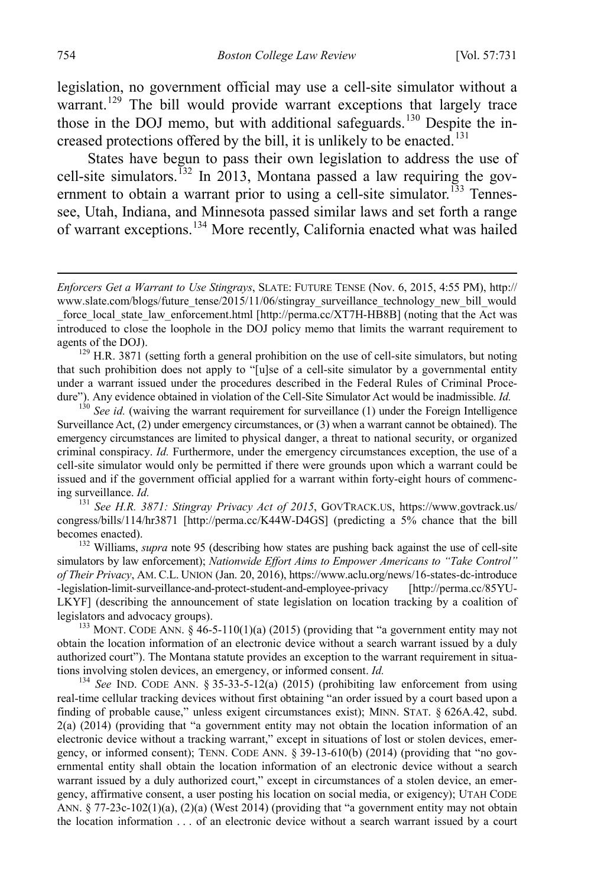legislation, no government official may use a cell-site simulator without a warrant.<sup>[129](#page-24-0)</sup> The bill would provide warrant exceptions that largely trace those in the DOJ memo, but with additional safeguards.<sup>[130](#page-24-1)</sup> Despite the in-creased protections offered by the bill, it is unlikely to be enacted.<sup>[131](#page-24-2)</sup>

States have begun to pass their own legislation to address the use of cell-site simulators.<sup>[132](#page-24-3)</sup> In 2013, Montana passed a law requiring the gov-ernment to obtain a warrant prior to using a cell-site simulator.<sup>[133](#page-24-4)</sup> Tennessee, Utah, Indiana, and Minnesota passed similar laws and set forth a range of warrant exceptions.[134](#page-24-5) More recently, California enacted what was hailed

<span id="page-24-0"></span>that such prohibition does not apply to "[u]se of a cell-site simulator by a governmental entity under a warrant issued under the procedures described in the Federal Rules of Criminal Procedure"). Any evidence obtained in violation of the Cell-Site Simulator Act would be inadmissible. *Id.* <sup>130</sup> *See id.* (waiving the warrant requirement for surveillance (1) under the Foreign Intelligence

<span id="page-24-1"></span>Surveillance Act, (2) under emergency circumstances, or (3) when a warrant cannot be obtained). The emergency circumstances are limited to physical danger, a threat to national security, or organized criminal conspiracy. *Id.* Furthermore, under the emergency circumstances exception, the use of a cell-site simulator would only be permitted if there were grounds upon which a warrant could be issued and if the government official applied for a warrant within forty-eight hours of commencing surveillance. *Id.* <sup>131</sup> *See H.R. 3871: Stingray Privacy Act of 2015*, GOVTRACK.US, https://www.govtrack.us/

<span id="page-24-2"></span>congress/bills/114/hr3871 [http://perma.cc/K44W-D4GS] (predicting a 5% chance that the bill becomes enacted). <sup>132</sup> Williams, *supra* note [95](#page-18-0) (describing how states are pushing back against the use of cell-site

<span id="page-24-3"></span>simulators by law enforcement); *Nationwide Effort Aims to Empower Americans to "Take Control" of Their Privacy*, AM. C.L. UNION (Jan. 20, 2016), https://www.aclu.org/news/16-states-dc-introduce -legislation-limit-surveillance-and-protect-student-and-employee-privacy [http://perma.cc/85YU-LKYF] (describing the announcement of state legislation on location tracking by a coalition of legislators and advocacy groups).

<span id="page-24-4"></span><sup>133</sup> MONT. CODE ANN. § 46-5-110(1)(a) (2015) (providing that "a government entity may not obtain the location information of an electronic device without a search warrant issued by a duly authorized court"). The Montana statute provides an exception to the warrant requirement in situations involving stolen devices, an emergency, or informed consent. *Id.* <sup>134</sup> *See* IND. CODE ANN. § 35-33-5-12(a) (2015) (prohibiting law enforcement from using

<span id="page-24-5"></span>real-time cellular tracking devices without first obtaining "an order issued by a court based upon a finding of probable cause," unless exigent circumstances exist); MINN. STAT. § 626A.42, subd. 2(a) (2014) (providing that "a government entity may not obtain the location information of an electronic device without a tracking warrant," except in situations of lost or stolen devices, emergency, or informed consent); TENN. CODE ANN. § 39-13-610(b) (2014) (providing that "no governmental entity shall obtain the location information of an electronic device without a search warrant issued by a duly authorized court," except in circumstances of a stolen device, an emergency, affirmative consent, a user posting his location on social media, or exigency); UTAH CODE ANN. § 77-23c-102(1)(a), (2)(a) (West 2014) (providing that "a government entity may not obtain the location information . . . of an electronic device without a search warrant issued by a court

 $\overline{a}$ 

*Enforcers Get a Warrant to Use Stingrays*, SLATE: FUTURE TENSE (Nov. 6, 2015, 4:55 PM), http:// www.slate.com/blogs/future\_tense/2015/11/06/stingray\_surveillance\_technology\_new\_bill\_would force\_local\_state\_law\_enforcement.html [http://perma.cc/XT7H-HB8B] (noting that the Act was introduced to close the loophole in the DOJ policy memo that limits the warrant requirement to agents of the DOJ).<br> $129$  H.R. 3871 (setting forth a general prohibition on the use of cell-site simulators, but noting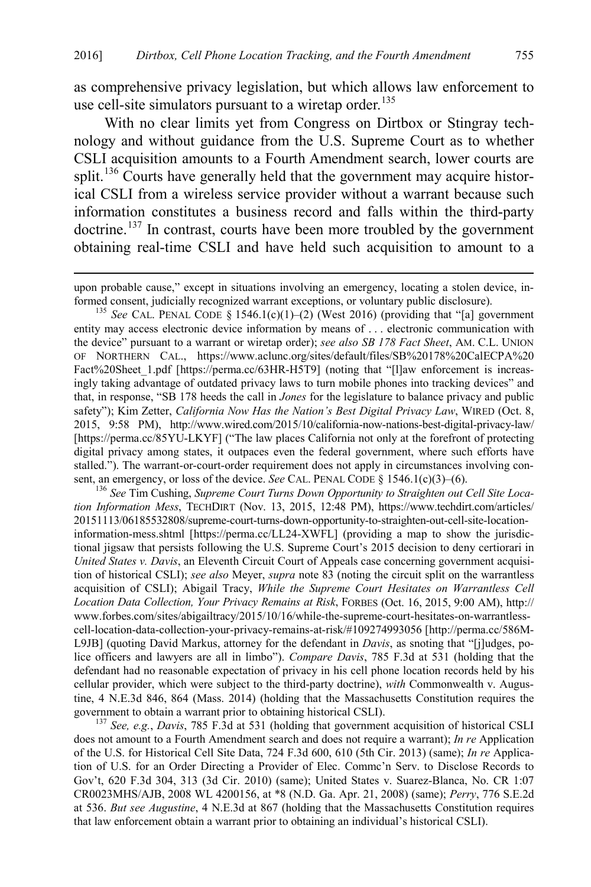as comprehensive privacy legislation, but which allows law enforcement to use cell-site simulators pursuant to a wiretap order.<sup>[135](#page-25-0)</sup>

With no clear limits yet from Congress on Dirtbox or Stingray technology and without guidance from the U.S. Supreme Court as to whether CSLI acquisition amounts to a Fourth Amendment search, lower courts are split.<sup>136</sup> Courts have generally held that the government may acquire historical CSLI from a wireless service provider without a warrant because such information constitutes a business record and falls within the third-party doctrine.<sup>[137](#page-25-2)</sup> In contrast, courts have been more troubled by the government obtaining real-time CSLI and have held such acquisition to amount to a

<span id="page-25-0"></span>formed consent, judicially recognized warrant exceptions, or voluntary public disclosure). <sup>135</sup> *See* CAL. PENAL CODE § 1546.1(c)(1)–(2) (West 2016) (providing that "[a] government entity may access electronic device information by means of . . . electronic communication with the device" pursuant to a warrant or wiretap order); *see also SB 178 Fact Sheet*, AM. C.L. UNION OF NORTHERN CAL., https://www.aclunc.org/sites/default/files/SB%20178%20CalECPA%20 Fact%20Sheet 1.pdf [https://perma.cc/63HR-H5T9] (noting that "[l]aw enforcement is increasingly taking advantage of outdated privacy laws to turn mobile phones into tracking devices" and that, in response, "SB 178 heeds the call in *Jones* for the legislature to balance privacy and public safety"); Kim Zetter, *California Now Has the Nation's Best Digital Privacy Law*, WIRED (Oct. 8, 2015, 9:58 PM), http://www.wired.com/2015/10/california-now-nations-best-digital-privacy-law/ [https://perma.cc/85YU-LKYF] ("The law places California not only at the forefront of protecting digital privacy among states, it outpaces even the federal government, where such efforts have stalled."). The warrant-or-court-order requirement does not apply in circumstances involving consent, an emergency, or loss of the device. *See* CAL. PENAL CODE § 1546.1(c)(3)–(6).<br><sup>136</sup> *See* Tim Cushing, *Supreme Court Turns Down Opportunity to Straighten out Cell Site Loca-*

<span id="page-25-1"></span>*tion Information Mess*, TECHDIRT (Nov. 13, 2015, 12:48 PM), https://www.techdirt.com/articles/ 20151113/06185532808/supreme-court-turns-down-opportunity-to-straighten-out-cell-site-locationinformation-mess.shtml [https://perma.cc/LL24-XWFL] (providing a map to show the jurisdictional jigsaw that persists following the U.S. Supreme Court's 2015 decision to deny certiorari in *United States v. Davis*, an Eleventh Circuit Court of Appeals case concerning government acquisition of historical CSLI); *see also* Meyer, *supra* not[e 83](#page-15-0) (noting the circuit split on the warrantless acquisition of CSLI); Abigail Tracy, *While the Supreme Court Hesitates on Warrantless Cell Location Data Collection, Your Privacy Remains at Risk*, FORBES (Oct. 16, 2015, 9:00 AM), http:// www.forbes.com/sites/abigailtracy/2015/10/16/while-the-supreme-court-hesitates-on-warrantlesscell-location-data-collection-your-privacy-remains-at-risk/#109274993056 [http://perma.cc/586M-L9JB] (quoting David Markus, attorney for the defendant in *Davis*, as snoting that "[j]udges, police officers and lawyers are all in limbo"). *Compare Davis*, 785 F.3d at 531 (holding that the defendant had no reasonable expectation of privacy in his cell phone location records held by his cellular provider, which were subject to the third-party doctrine), *with* Commonwealth v. Augustine, 4 N.E.3d 846, 864 (Mass. 2014) (holding that the Massachusetts Constitution requires the government to obtain a warrant prior to obtaining historical CSLI). <sup>137</sup> *See, e.g.*, *Davis*, 785 F.3d at 531 (holding that government acquisition of historical CSLI

<span id="page-25-2"></span>does not amount to a Fourth Amendment search and does not require a warrant); *In re* Application of the U.S. for Historical Cell Site Data, 724 F.3d 600, 610 (5th Cir. 2013) (same); *In re* Application of U.S. for an Order Directing a Provider of Elec. Commc'n Serv. to Disclose Records to Gov't, 620 F.3d 304, 313 (3d Cir. 2010) (same); United States v. Suarez-Blanca, No. CR 1:07 CR0023MHS/AJB, 2008 WL 4200156, at \*8 (N.D. Ga. Apr. 21, 2008) (same); *Perry*, 776 S.E.2d at 536. *But see Augustine*, 4 N.E.3d at 867 (holding that the Massachusetts Constitution requires that law enforcement obtain a warrant prior to obtaining an individual's historical CSLI).

upon probable cause," except in situations involving an emergency, locating a stolen device, in-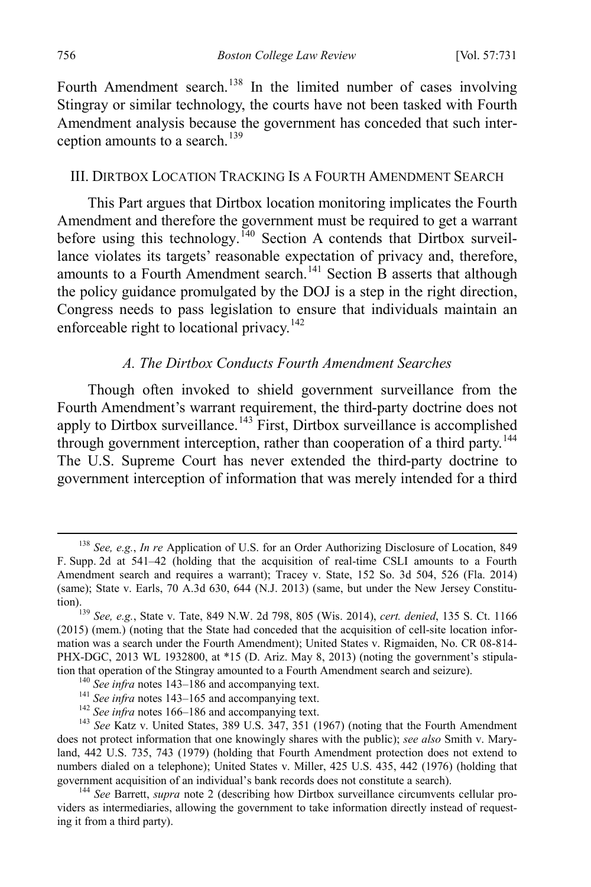Fourth Amendment search.<sup>[138](#page-26-3)</sup> In the limited number of cases involving Stingray or similar technology, the courts have not been tasked with Fourth Amendment analysis because the government has conceded that such inter-ception amounts to a search.<sup>[139](#page-26-4)</sup>

#### <span id="page-26-1"></span>III. DIRTBOX LOCATION TRACKING IS A FOURTH AMENDMENT SEARCH

This Part argues that Dirtbox location monitoring implicates the Fourth Amendment and therefore the government must be required to get a warrant before using this technology.<sup>[140](#page-26-5)</sup> Section A contends that Dirtbox surveillance violates its targets' reasonable expectation of privacy and, therefore, amounts to a Fourth Amendment search.<sup>[141](#page-26-6)</sup> Section B asserts that although the policy guidance promulgated by the DOJ is a step in the right direction, Congress needs to pass legislation to ensure that individuals maintain an enforceable right to locational privacy.<sup>[142](#page-26-7)</sup>

#### <span id="page-26-2"></span><span id="page-26-0"></span>*A. The Dirtbox Conducts Fourth Amendment Searches*

Though often invoked to shield government surveillance from the Fourth Amendment's warrant requirement, the third-party doctrine does not apply to Dirtbox surveillance.<sup>[143](#page-26-8)</sup> First, Dirtbox surveillance is accomplished through government interception, rather than cooperation of a third party.<sup>[144](#page-26-9)</sup> The U.S. Supreme Court has never extended the third-party doctrine to government interception of information that was merely intended for a third

<span id="page-26-3"></span> <sup>138</sup> *See, e.g.*, *In re* Application of U.S. for an Order Authorizing Disclosure of Location, 849 F. Supp. 2d at 541–42 (holding that the acquisition of real-time CSLI amounts to a Fourth Amendment search and requires a warrant); Tracey v. State, 152 So. 3d 504, 526 (Fla. 2014) (same); State v. Earls, 70 A.3d 630, 644 (N.J. 2013) (same, but under the New Jersey Constitu-

<span id="page-26-4"></span>tion).139 *See, e.g.*, State v. Tate, 849 N.W. 2d 798, 805 (Wis. 2014), *cert. denied*, 135 S. Ct. 1166 (2015) (mem.) (noting that the State had conceded that the acquisition of cell-site location information was a search under the Fourth Amendment); United States v. Rigmaiden, No. CR 08-814- PHX-DGC, 2013 WL 1932800, at \*15 (D. Ariz. May 8, 2013) (noting the government's stipulation that operation of the Stingray amounted to a Fourth Amendment search and seizure).<br>
<sup>140</sup> See infra note[s 143](#page-26-2)[–186](#page-33-0) and accompanying text.<br>
<sup>141</sup> See infra notes [143](#page-26-2)[–165](#page-30-0) and accompanying text.<br>
<sup>142</sup> See infra notes 16

<span id="page-26-8"></span><span id="page-26-7"></span><span id="page-26-6"></span><span id="page-26-5"></span>does not protect information that one knowingly shares with the public); *see also* Smith v. Maryland, 442 U.S. 735, 743 (1979) (holding that Fourth Amendment protection does not extend to numbers dialed on a telephone); United States v. Miller, 425 U.S. 435, 442 (1976) (holding that government acquisition of an individual's bank records does not constitute a search).

<span id="page-26-9"></span><sup>&</sup>lt;sup>144</sup> See Barrett, *supra* note [2](#page-2-0) (describing how Dirtbox surveillance circumvents cellular providers as intermediaries, allowing the government to take information directly instead of requesting it from a third party).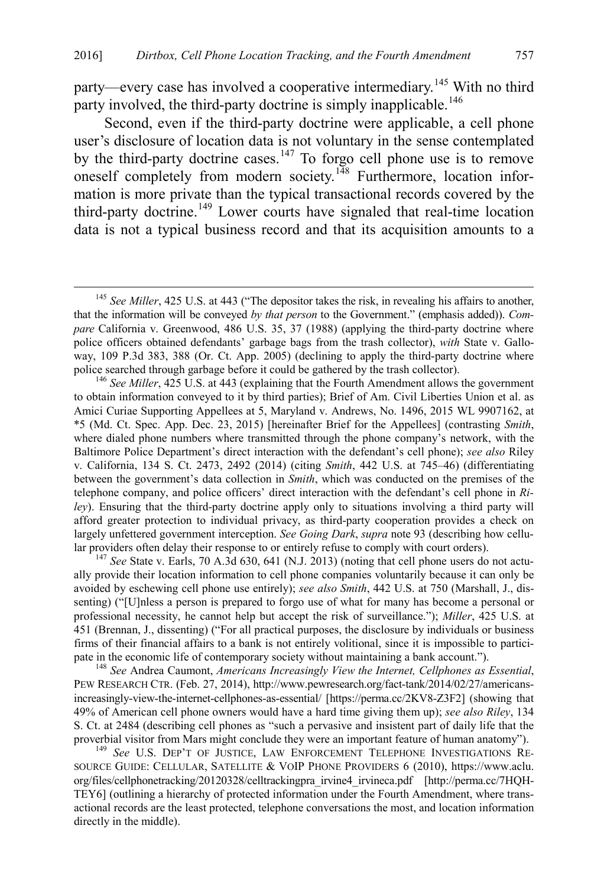<span id="page-27-6"></span>party—every case has involved a cooperative intermediary.<sup>[145](#page-27-0)</sup> With no third party involved, the third-party doctrine is simply inapplicable.<sup>[146](#page-27-1)</sup>

<span id="page-27-5"></span>Second, even if the third-party doctrine were applicable, a cell phone user's disclosure of location data is not voluntary in the sense contemplated by the third-party doctrine cases.<sup>[147](#page-27-2)</sup> To forgo cell phone use is to remove oneself completely from modern society.<sup>[148](#page-27-3)</sup> Furthermore, location information is more private than the typical transactional records covered by the third-party doctrine.<sup>[149](#page-27-4)</sup> Lower courts have signaled that real-time location data is not a typical business record and that its acquisition amounts to a

<span id="page-27-1"></span><sup>146</sup> See Miller, 425 U.S. at 443 (explaining that the Fourth Amendment allows the government to obtain information conveyed to it by third parties); Brief of Am. Civil Liberties Union et al. as Amici Curiae Supporting Appellees at 5, Maryland v. Andrews, No. 1496, 2015 WL 9907162, at \*5 (Md. Ct. Spec. App. Dec. 23, 2015) [hereinafter Brief for the Appellees] (contrasting *Smith*, where dialed phone numbers where transmitted through the phone company's network, with the Baltimore Police Department's direct interaction with the defendant's cell phone); *see also* Riley v. California, 134 S. Ct. 2473, 2492 (2014) (citing *Smith*, 442 U.S. at 745–46) (differentiating between the government's data collection in *Smith*, which was conducted on the premises of the telephone company, and police officers' direct interaction with the defendant's cell phone in *Riley*). Ensuring that the third-party doctrine apply only to situations involving a third party will afford greater protection to individual privacy, as third-party cooperation provides a check on largely unfettered government interception. *See Going Dark*, *supra* not[e 93](#page-17-5) (describing how cellular providers often delay their response to or entirely refuse to comply with court orders). <sup>147</sup> *See* State v. Earls, 70 A.3d 630, 641 (N.J. 2013) (noting that cell phone users do not actu-

<span id="page-27-2"></span>ally provide their location information to cell phone companies voluntarily because it can only be avoided by eschewing cell phone use entirely); *see also Smith*, 442 U.S. at 750 (Marshall, J., dissenting) ("[U]nless a person is prepared to forgo use of what for many has become a personal or professional necessity, he cannot help but accept the risk of surveillance."); *Miller*, 425 U.S. at 451 (Brennan, J., dissenting) ("For all practical purposes, the disclosure by individuals or business firms of their financial affairs to a bank is not entirely volitional, since it is impossible to partici-

<span id="page-27-3"></span>pate in the economic life of contemporary society without maintaining a bank account."). <sup>148</sup> *See* Andrea Caumont, *Americans Increasingly View the Internet, Cellphones as Essential*, PEW RESEARCH CTR. (Feb. 27, 2014), http://www.pewresearch.org/fact-tank/2014/02/27/americansincreasingly-view-the-internet-cellphones-as-essential/ [https://perma.cc/2KV8-Z3F2] (showing that 49% of American cell phone owners would have a hard time giving them up); *see also Riley*, 134 S. Ct. at 2484 (describing cell phones as "such a pervasive and insistent part of daily life that the proverbial visitor from Mars might conclude they were an important feature of human anatomy"). <sup>149</sup> *See* U.S. DEP'T OF JUSTICE, LAW ENFORCEMENT TELEPHONE INVESTIGATIONS RE-

<span id="page-27-4"></span>SOURCE GUIDE: CELLULAR, SATELLITE & VOIP PHONE PROVIDERS 6 (2010), https://www.aclu. org/files/cellphonetracking/20120328/celltrackingpra\_irvine4\_irvineca.pdf [http://perma.cc/7HQH-TEY6] (outlining a hierarchy of protected information under the Fourth Amendment, where transactional records are the least protected, telephone conversations the most, and location information directly in the middle).

<span id="page-27-0"></span> <sup>145</sup> *See Miller*, 425 U.S. at 443 ("The depositor takes the risk, in revealing his affairs to another, that the information will be conveyed *by that person* to the Government." (emphasis added)). *Compare* California v. Greenwood, 486 U.S. 35, 37 (1988) (applying the third-party doctrine where police officers obtained defendants' garbage bags from the trash collector), *with* State v. Galloway, 109 P.3d 383, 388 (Or. Ct. App. 2005) (declining to apply the third-party doctrine where police searched through garbage before it could be gathered by the trash collector).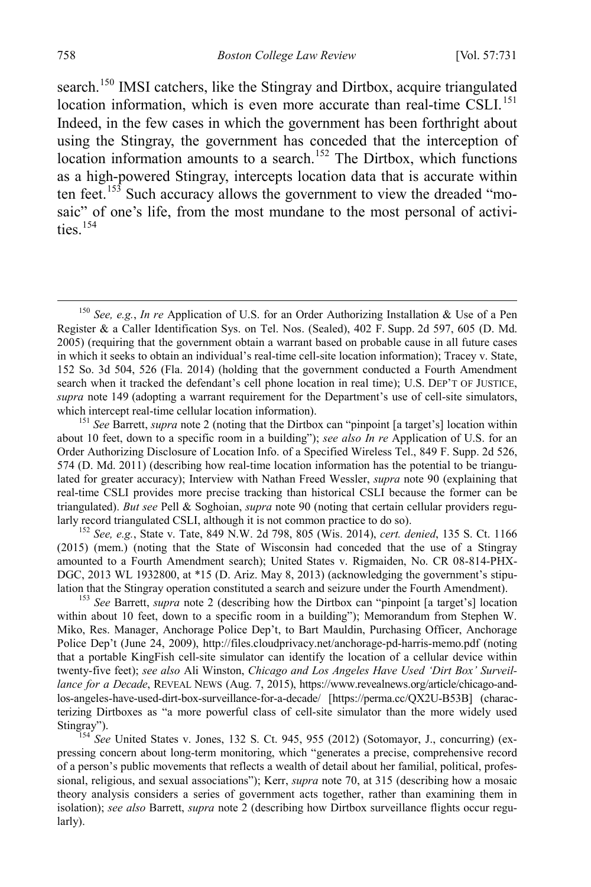<span id="page-28-5"></span>search.<sup>[150](#page-28-0)</sup> IMSI catchers, like the Stingray and Dirtbox, acquire triangulated location information, which is even more accurate than real-time CSLI.<sup>[151](#page-28-1)</sup> Indeed, in the few cases in which the government has been forthright about using the Stingray, the government has conceded that the interception of location information amounts to a search.<sup>[152](#page-28-2)</sup> The Dirtbox, which functions as a high-powered Stingray, intercepts location data that is accurate within ten feet.<sup>[153](#page-28-3)</sup> Such accuracy allows the government to view the dreaded "mosaic" of one's life, from the most mundane to the most personal of activities. $154$ 

<span id="page-28-2"></span>(2015) (mem.) (noting that the State of Wisconsin had conceded that the use of a Stingray amounted to a Fourth Amendment search); United States v. Rigmaiden, No. CR 08-814-PHX-DGC, 2013 WL 1932800, at \*15 (D. Ariz. May 8, 2013) (acknowledging the government's stipu-<br>lation that the Stingray operation constituted a search and seizure under the Fourth Amendment).

<span id="page-28-3"></span><sup>153</sup> See Barrett, *supra* note [2](#page-2-0) (describing how the Dirtbox can "pinpoint [a target's] location within about 10 feet, down to a specific room in a building"); Memorandum from Stephen W. Miko, Res. Manager, Anchorage Police Dep't, to Bart Mauldin, Purchasing Officer, Anchorage Police Dep't (June 24, 2009), http://files.cloudprivacy.net/anchorage-pd-harris-memo.pdf (noting that a portable KingFish cell-site simulator can identify the location of a cellular device within twenty-five feet); *see also* Ali Winston, *Chicago and Los Angeles Have Used 'Dirt Box' Surveillance for a Decade*, REVEAL NEWS (Aug. 7, 2015), https://www.revealnews.org/article/chicago-andlos-angeles-have-used-dirt-box-surveillance-for-a-decade/ [https://perma.cc/QX2U-B53B] (characterizing Dirtboxes as "a more powerful class of cell-site simulator than the more widely used

<span id="page-28-4"></span>Stingray").<br><sup>154</sup> *See* United States v. Jones, 132 S. Ct. 945, 955 (2012) (Sotomayor, J., concurring) (expressing concern about long-term monitoring, which "generates a precise, comprehensive record of a person's public movements that reflects a wealth of detail about her familial, political, professional, religious, and sexual associations"); Kerr, *supra* note [70,](#page-13-2) at 315 (describing how a mosaic theory analysis considers a series of government acts together, rather than examining them in isolation); *see also* Barrett, *supra* not[e 2](#page-2-0) (describing how Dirtbox surveillance flights occur regularly).

<span id="page-28-0"></span> <sup>150</sup> *See, e.g.*, *In re* Application of U.S. for an Order Authorizing Installation & Use of a Pen Register & a Caller Identification Sys. on Tel. Nos. (Sealed), 402 F. Supp. 2d 597, 605 (D. Md. 2005) (requiring that the government obtain a warrant based on probable cause in all future cases in which it seeks to obtain an individual's real-time cell-site location information); Tracey v. State, 152 So. 3d 504, 526 (Fla. 2014) (holding that the government conducted a Fourth Amendment search when it tracked the defendant's cell phone location in real time); U.S. DEP'T OF JUSTICE, *supra* note [149](#page-27-5) (adopting a warrant requirement for the Department's use of cell-site simulators, which intercept real-time cellular location information).<br><sup>151</sup> *See* Barrett, *supra* note [2](#page-2-0) (noting that the Dirtbox can "pinpoint [a target's] location within

<span id="page-28-1"></span>about 10 feet, down to a specific room in a building"); *see also In re* Application of U.S. for an Order Authorizing Disclosure of Location Info. of a Specified Wireless Tel., 849 F. Supp. 2d 526, 574 (D. Md. 2011) (describing how real-time location information has the potential to be triangulated for greater accuracy); Interview with Nathan Freed Wessler, *supra* note [90](#page-16-5) (explaining that real-time CSLI provides more precise tracking than historical CSLI because the former can be triangulated). *But see* Pell & Soghoian, *supra* note [90](#page-16-5) (noting that certain cellular providers regularly record triangulated CSLI, although it is not common practice to do so). <sup>152</sup> *See, e.g.*, State v. Tate, 849 N.W. 2d 798, 805 (Wis. 2014), *cert. denied*, 135 S. Ct. 1166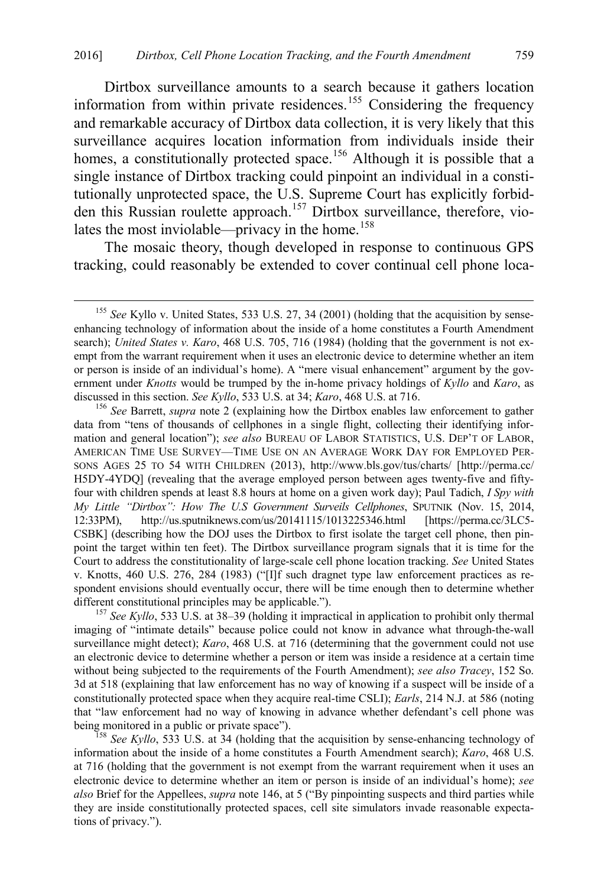Dirtbox surveillance amounts to a search because it gathers location information from within private residences.<sup>[155](#page-29-0)</sup> Considering the frequency and remarkable accuracy of Dirtbox data collection, it is very likely that this surveillance acquires location information from individuals inside their homes, a constitutionally protected space.<sup>[156](#page-29-1)</sup> Although it is possible that a single instance of Dirtbox tracking could pinpoint an individual in a constitutionally unprotected space, the U.S. Supreme Court has explicitly forbidden this Russian roulette approach.[157](#page-29-2) Dirtbox surveillance, therefore, vio-lates the most inviolable—privacy in the home.<sup>[158](#page-29-3)</sup>

The mosaic theory, though developed in response to continuous GPS tracking, could reasonably be extended to cover continual cell phone loca-

<span id="page-29-2"></span>imaging of "intimate details" because police could not know in advance what through-the-wall surveillance might detect); *Karo*, 468 U.S. at 716 (determining that the government could not use an electronic device to determine whether a person or item was inside a residence at a certain time without being subjected to the requirements of the Fourth Amendment); *see also Tracey*, 152 So. 3d at 518 (explaining that law enforcement has no way of knowing if a suspect will be inside of a constitutionally protected space when they acquire real-time CSLI); *Earls*, 214 N.J. at 586 (noting that "law enforcement had no way of knowing in advance whether defendant's cell phone was being monitored in a public or private space").<br><sup>158</sup> *See Kyllo*, 533 U.S. at 34 (holding that the acquisition by sense-enhancing technology of

<span id="page-29-3"></span>information about the inside of a home constitutes a Fourth Amendment search); *Karo*, 468 U.S. at 716 (holding that the government is not exempt from the warrant requirement when it uses an electronic device to determine whether an item or person is inside of an individual's home); *see also* Brief for the Appellees, *supra* not[e 146,](#page-27-6) at 5 ("By pinpointing suspects and third parties while they are inside constitutionally protected spaces, cell site simulators invade reasonable expectations of privacy.").

<span id="page-29-0"></span> <sup>155</sup> *See* Kyllo v. United States, 533 U.S. 27, 34 (2001) (holding that the acquisition by senseenhancing technology of information about the inside of a home constitutes a Fourth Amendment search); *United States v. Karo*, 468 U.S. 705, 716 (1984) (holding that the government is not exempt from the warrant requirement when it uses an electronic device to determine whether an item or person is inside of an individual's home). A "mere visual enhancement" argument by the government under *Knotts* would be trumped by the in-home privacy holdings of *Kyllo* and *Karo*, as discussed in this section. *See Kyllo*, 533 U.S. at 34; *Karo*, 468 U.S. at 716. <sup>156</sup> *See* Barrett, *supra* note [2](#page-2-0) (explaining how the Dirtbox enables law enforcement to gather

<span id="page-29-1"></span>data from "tens of thousands of cellphones in a single flight, collecting their identifying information and general location"); *see also* BUREAU OF LABOR STATISTICS, U.S. DEP'T OF LABOR, AMERICAN TIME USE SURVEY—TIME USE ON AN AVERAGE WORK DAY FOR EMPLOYED PER-SONS AGES 25 TO 54 WITH CHILDREN (2013), http://www.bls.gov/tus/charts/ [http://perma.cc/ H5DY-4YDQ] (revealing that the average employed person between ages twenty-five and fiftyfour with children spends at least 8.8 hours at home on a given work day); Paul Tadich, *I Spy with My Little "Dirtbox": How The U.S Government Surveils Cellphones*, SPUTNIK (Nov. 15, 2014, 12:33PM), http://us.sputniknews.com/us/20141115/1013225346.html [https://perma.cc/3LC5- CSBK] (describing how the DOJ uses the Dirtbox to first isolate the target cell phone, then pinpoint the target within ten feet). The Dirtbox surveillance program signals that it is time for the Court to address the constitutionality of large-scale cell phone location tracking. *See* United States v. Knotts, 460 U.S. 276, 284 (1983) ("[I]f such dragnet type law enforcement practices as respondent envisions should eventually occur, there will be time enough then to determine whether different constitutional principles may be applicable."). <sup>157</sup> *See Kyllo*, 533 U.S. at 38–39 (holding it impractical in application to prohibit only thermal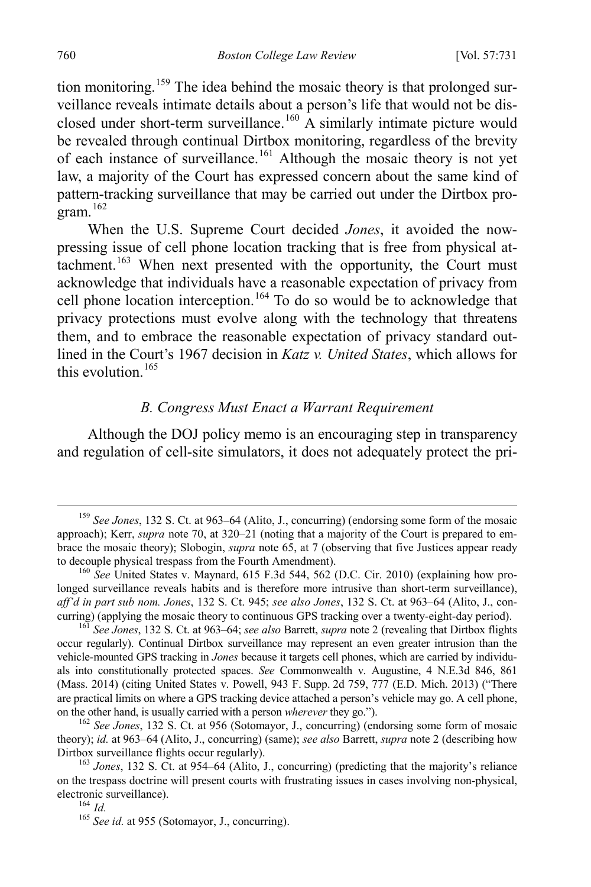tion monitoring.<sup>[159](#page-30-1)</sup> The idea behind the mosaic theory is that prolonged surveillance reveals intimate details about a person's life that would not be dis-closed under short-term surveillance.<sup>[160](#page-30-2)</sup> A similarly intimate picture would be revealed through continual Dirtbox monitoring, regardless of the brevity of each instance of surveillance.[161](#page-30-3) Although the mosaic theory is not yet law, a majority of the Court has expressed concern about the same kind of pattern-tracking surveillance that may be carried out under the Dirtbox program.[162](#page-30-4)

When the U.S. Supreme Court decided *Jones*, it avoided the nowpressing issue of cell phone location tracking that is free from physical at-tachment.<sup>[163](#page-30-5)</sup> When next presented with the opportunity, the Court must acknowledge that individuals have a reasonable expectation of privacy from cell phone location interception. [164](#page-30-6) To do so would be to acknowledge that privacy protections must evolve along with the technology that threatens them, and to embrace the reasonable expectation of privacy standard outlined in the Court's 1967 decision in *Katz v. United States*, which allows for this evolution  $165$ 

# <span id="page-30-0"></span>*B. Congress Must Enact a Warrant Requirement*

Although the DOJ policy memo is an encouraging step in transparency and regulation of cell-site simulators, it does not adequately protect the pri-

<span id="page-30-1"></span> <sup>159</sup> *See Jones*, 132 S. Ct. at 963–64 (Alito, J., concurring) (endorsing some form of the mosaic approach); Kerr, *supra* note [70,](#page-13-2) at 320–21 (noting that a majority of the Court is prepared to embrace the mosaic theory); Slobogin, *supra* note [65,](#page-12-6) at 7 (observing that five Justices appear ready to decouple physical trespass from the Fourth Amendment).

<span id="page-30-2"></span><sup>&</sup>lt;sup>160</sup> See United States v. Maynard, 615 F.3d 544, 562 (D.C. Cir. 2010) (explaining how prolonged surveillance reveals habits and is therefore more intrusive than short-term surveillance), *aff'd in part sub nom. Jones*, 132 S. Ct. 945; *see also Jones*, 132 S. Ct. at 963–64 (Alito, J., con-

<span id="page-30-3"></span><sup>&</sup>lt;sup>161</sup> See Jones, 132 S. Ct. at 963–64; *see also* Barrett, *supra* not[e 2](#page-2-0) (revealing that Dirtbox flights occur regularly). Continual Dirtbox surveillance may represent an even greater intrusion than the vehicle-mounted GPS tracking in *Jones* because it targets cell phones, which are carried by individuals into constitutionally protected spaces. *See* Commonwealth v. Augustine, 4 N.E.3d 846, 861 (Mass. 2014) (citing United States v. Powell, 943 F. Supp. 2d 759, 777 (E.D. Mich. 2013) ("There are practical limits on where a GPS tracking device attached a person's vehicle may go. A cell phone, on the other hand, is usually carried with a person *wherever* they go.").

<span id="page-30-4"></span><sup>&</sup>lt;sup>162</sup> See Jones, 132 S. Ct. at 956 (Sotomayor, J., concurring) (endorsing some form of mosaic theory); *id.* at 963–64 (Alito, J., concurring) (same); *see also* Barrett, *supra* not[e 2](#page-2-0) (describing how

<span id="page-30-7"></span><span id="page-30-6"></span><span id="page-30-5"></span><sup>&</sup>lt;sup>163</sup> Jones, 132 S. Ct. at 954–64 (Alito, J., concurring) (predicting that the majority's reliance on the trespass doctrine will present courts with frustrating issues in cases involving non-physical, electronic surveillance).<br><sup>164</sup> *Id.* <sup>165</sup> *See id.* at 955 (Sotomayor, J., concurring).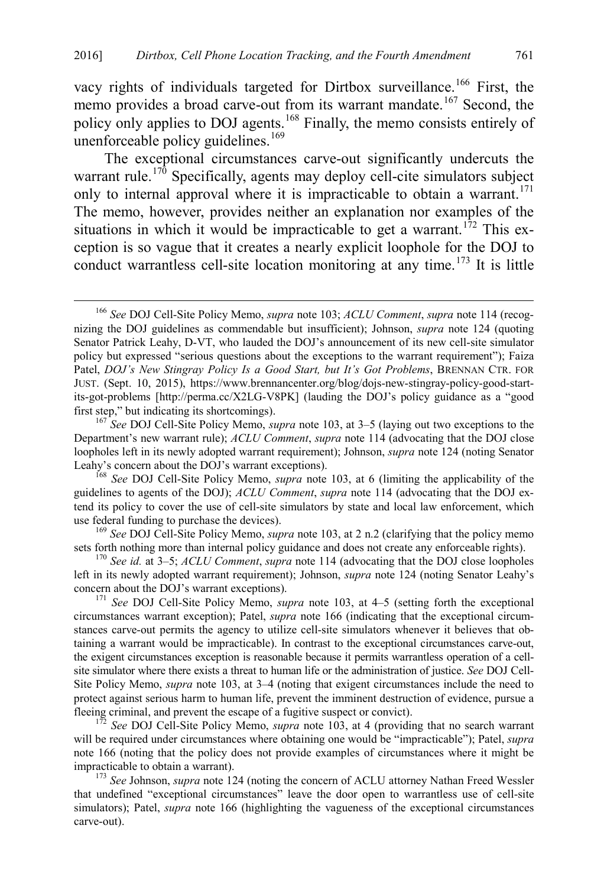<span id="page-31-0"></span>vacy rights of individuals targeted for Dirtbox surveillance.<sup>[166](#page-31-1)</sup> First, the memo provides a broad carve-out from its warrant mandate.<sup>[167](#page-31-2)</sup> Second, the policy only applies to DOJ agents.[168](#page-31-3) Finally, the memo consists entirely of unenforceable policy guidelines. $169$ 

The exceptional circumstances carve-out significantly undercuts the warrant rule.<sup>[170](#page-31-5)</sup> Specifically, agents may deploy cell-cite simulators subject only to internal approval where it is impracticable to obtain a warrant.<sup>[171](#page-31-6)</sup> The memo, however, provides neither an explanation nor examples of the situations in which it would be impracticable to get a warrant.<sup>[172](#page-31-7)</sup> This exception is so vague that it creates a nearly explicit loophole for the DOJ to conduct warrantless cell-site location monitoring at any time.<sup>[173](#page-31-8)</sup> It is little

<span id="page-31-1"></span> <sup>166</sup> *See* DOJ Cell-Site Policy Memo, *supra* note [103;](#page-19-3) *ACLU Comment*, *supra* not[e 114 \(](#page-22-0)recognizing the DOJ guidelines as commendable but insufficient); Johnson, *supra* note [124](#page-23-0) (quoting Senator Patrick Leahy, D-VT, who lauded the DOJ's announcement of its new cell-site simulator policy but expressed "serious questions about the exceptions to the warrant requirement"); Faiza Patel, *DOJ's New Stingray Policy Is a Good Start, but It's Got Problems*, BRENNAN CTR. FOR JUST. (Sept. 10, 2015), https://www.brennancenter.org/blog/dojs-new-stingray-policy-good-startits-got-problems [http://perma.cc/X2LG-V8PK] (lauding the DOJ's policy guidance as a "good

<span id="page-31-2"></span><sup>&</sup>lt;sup>167</sup> See DOJ Cell-Site Policy Memo, *supra* not[e 103,](#page-19-3) at 3–5 (laying out two exceptions to the Department's new warrant rule); *ACLU Comment*, *supra* note [114](#page-22-0) (advocating that the DOJ close loopholes left in its newly adopted warrant requirement); Johnson, *supra* not[e 124](#page-23-0) (noting Senator Leahy's concern about the DOJ's warrant exceptions).

<span id="page-31-3"></span><sup>&</sup>lt;sup>168</sup> See DOJ Cell-Site Policy Memo, *supra* note [103,](#page-19-3) at 6 (limiting the applicability of the guidelines to agents of the DOJ); *ACLU Comment*, *supra* note [114](#page-22-0) (advocating that the DOJ extend its policy to cover the use of cell-site simulators by state and local law enforcement, which

<span id="page-31-4"></span>use federal funding to purchase the devices).<br><sup>169</sup> *See* DOJ Cell-Site Policy Memo, *supra* note [103,](#page-19-3) at 2 n.2 (clarifying that the policy memo sets forth nothing more than internal policy guidance and does not create any

<span id="page-31-5"></span><sup>&</sup>lt;sup>170</sup> See id. at 3–5; *ACLU Comment*, *supra* note [114](#page-22-0) (advocating that the DOJ close loopholes left in its newly adopted warrant requirement); Johnson, *supra* note [124](#page-23-0) (noting Senator Leahy's concern about the DOJ's warrant exceptions). 171 *See* DOJ Cell-Site Policy Memo, *supra* note [103,](#page-19-3) at 4–5 (setting forth the exceptional

<span id="page-31-6"></span>circumstances warrant exception); Patel, *supra* note [166](#page-31-0) (indicating that the exceptional circumstances carve-out permits the agency to utilize cell-site simulators whenever it believes that obtaining a warrant would be impracticable). In contrast to the exceptional circumstances carve-out, the exigent circumstances exception is reasonable because it permits warrantless operation of a cellsite simulator where there exists a threat to human life or the administration of justice. *See* DOJ Cell-Site Policy Memo, *supra* note [103,](#page-19-3) at 3–4 (noting that exigent circumstances include the need to protect against serious harm to human life, prevent the imminent destruction of evidence, pursue a fleeing criminal, and prevent the escape of a fugitive suspect or convict).

<span id="page-31-7"></span><sup>&</sup>lt;sup>172</sup> *See* DOJ Cell-Site Policy Memo, *supra* note [103,](#page-19-3) at 4 (providing that no search warrant will be required under circumstances where obtaining one would be "impracticable"); Patel, *supra* note [166](#page-31-0) (noting that the policy does not provide examples of circumstances where it might be impracticable to obtain a warrant). <sup>173</sup> *See* Johnson, *supra* not[e 124](#page-23-0) (noting the concern of ACLU attorney Nathan Freed Wessler

<span id="page-31-8"></span>that undefined "exceptional circumstances" leave the door open to warrantless use of cell-site simulators); Patel, *supra* note [166](#page-31-0) (highlighting the vagueness of the exceptional circumstances carve-out).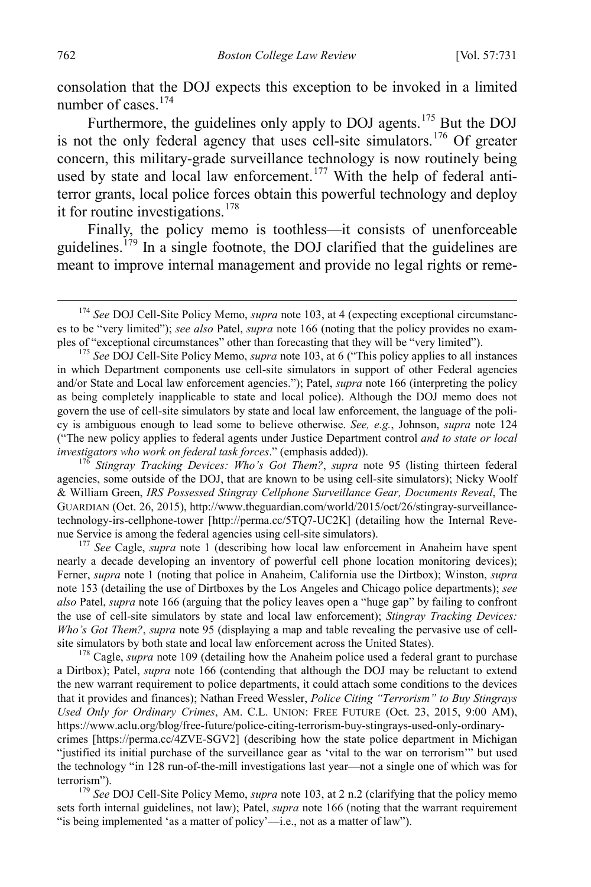consolation that the DOJ expects this exception to be invoked in a limited number of cases.<sup>[174](#page-32-0)</sup>

Furthermore, the guidelines only apply to DOJ agents.<sup>[175](#page-32-1)</sup> But the DOJ is not the only federal agency that uses cell-site simulators.<sup>[176](#page-32-2)</sup> Of greater concern, this military-grade surveillance technology is now routinely being used by state and local law enforcement.<sup>[177](#page-32-3)</sup> With the help of federal antiterror grants, local police forces obtain this powerful technology and deploy it for routine investigations.<sup>[178](#page-32-4)</sup>

Finally, the policy memo is toothless—it consists of unenforceable guidelines.<sup> $179$ </sup> In a single footnote, the DOJ clarified that the guidelines are meant to improve internal management and provide no legal rights or reme-

<span id="page-32-2"></span><sup>176</sup> Stingray Tracking Devices: Who's Got Them?, *supra* note [95](#page-18-0) (listing thirteen federal agencies, some outside of the DOJ, that are known to be using cell-site simulators); Nicky Woolf & William Green, *IRS Possessed Stingray Cellphone Surveillance Gear, Documents Reveal*, The GUARDIAN (Oct. 26, 2015), http://www.theguardian.com/world/2015/oct/26/stingray-surveillancetechnology-irs-cellphone-tower [http://perma.cc/5TQ7-UC2K] (detailing how the Internal Reve-<br>nue Service is among the federal agencies using cell-site simulators).

<span id="page-32-3"></span><sup>177</sup> See Cagle, *supra* note [1](#page-1-1) (describing how local law enforcement in Anaheim have spent nearly a decade developing an inventory of powerful cell phone location monitoring devices); Ferner, *supra* note [1](#page-1-1) (noting that police in Anaheim, California use the Dirtbox); Winston, *supra* note [153](#page-28-5) (detailing the use of Dirtboxes by the Los Angeles and Chicago police departments); *see also* Patel, *supra* note [166](#page-31-0) (arguing that the policy leaves open a "huge gap" by failing to confront the use of cell-site simulators by state and local law enforcement); *Stingray Tracking Devices: Who's Got Them?*, *supra* note [95](#page-18-0) (displaying a map and table revealing the pervasive use of cellsite simulators by both state and local law enforcement across the United States). <sup>178</sup> Cagle, *supra* not[e 109](#page-20-6) (detailing how the Anaheim police used a federal grant to purchase

<span id="page-32-4"></span>a Dirtbox); Patel, *supra* note [166](#page-31-0) (contending that although the DOJ may be reluctant to extend the new warrant requirement to police departments, it could attach some conditions to the devices that it provides and finances); Nathan Freed Wessler, *Police Citing "Terrorism" to Buy Stingrays Used Only for Ordinary Crimes*, AM. C.L. UNION: FREE FUTURE (Oct. 23, 2015, 9:00 AM), https://www.aclu.org/blog/free-future/police-citing-terrorism-buy-stingrays-used-only-ordinary-

crimes [https://perma.cc/4ZVE-SGV2] (describing how the state police department in Michigan "justified its initial purchase of the surveillance gear as 'vital to the war on terrorism'" but used the technology "in 128 run-of-the-mill investigations last year—not a single one of which was for

<span id="page-32-5"></span>terrorism"). <sup>179</sup> *See* DOJ Cell-Site Policy Memo, *supra* note [103,](#page-19-3) at 2 n.2 (clarifying that the policy memo sets forth internal guidelines, not law); Patel, *supra* note [166](#page-31-0) (noting that the warrant requirement "is being implemented 'as a matter of policy'—i.e., not as a matter of law").

<span id="page-32-0"></span> <sup>174</sup> *See* DOJ Cell-Site Policy Memo, *supra* note [103,](#page-19-3) at 4 (expecting exceptional circumstances to be "very limited"); *see also* Patel, *supra* note [166](#page-31-0) (noting that the policy provides no exam-<br>ples of "exceptional circumstances" other than forecasting that they will be "very limited").

<span id="page-32-1"></span><sup>&</sup>lt;sup>175</sup> See DOJ Cell-Site Policy Memo, *supra* note [103,](#page-19-3) at 6 ("This policy applies to all instances in which Department components use cell-site simulators in support of other Federal agencies and/or State and Local law enforcement agencies."); Patel, *supra* note [166](#page-31-0) (interpreting the policy as being completely inapplicable to state and local police). Although the DOJ memo does not govern the use of cell-site simulators by state and local law enforcement, the language of the policy is ambiguous enough to lead some to believe otherwise. *See, e.g.*, Johnson, *supra* note [124](#page-23-0) ("The new policy applies to federal agents under Justice Department control *and to state or local*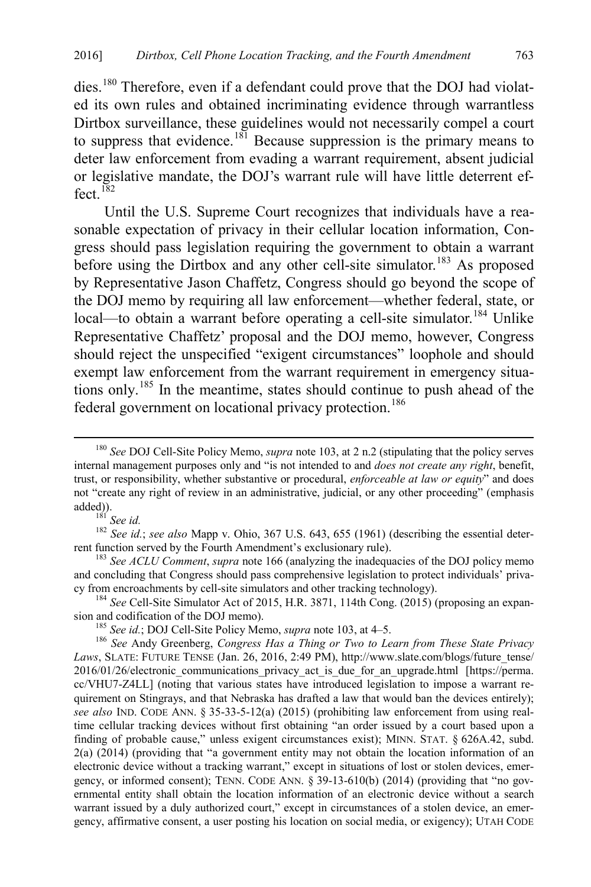dies.<sup>[180](#page-33-1)</sup> Therefore, even if a defendant could prove that the DOJ had violated its own rules and obtained incriminating evidence through warrantless Dirtbox surveillance, these guidelines would not necessarily compel a court to suppress that evidence.<sup>[181](#page-33-2)</sup> Because suppression is the primary means to deter law enforcement from evading a warrant requirement, absent judicial or legislative mandate, the DOJ's warrant rule will have little deterrent ef $f$ ect.<sup>[182](#page-33-3)</sup>

Until the U.S. Supreme Court recognizes that individuals have a reasonable expectation of privacy in their cellular location information, Congress should pass legislation requiring the government to obtain a warrant before using the Dirtbox and any other cell-site simulator.<sup>[183](#page-33-4)</sup> As proposed by Representative Jason Chaffetz, Congress should go beyond the scope of the DOJ memo by requiring all law enforcement—whether federal, state, or local—to obtain a warrant before operating a cell-site simulator.<sup>[184](#page-33-5)</sup> Unlike Representative Chaffetz' proposal and the DOJ memo, however, Congress should reject the unspecified "exigent circumstances" loophole and should exempt law enforcement from the warrant requirement in emergency situations only.[185](#page-33-6) In the meantime, states should continue to push ahead of the federal government on locational privacy protection.<sup>[186](#page-33-7)</sup>

<span id="page-33-0"></span>

<span id="page-33-3"></span><span id="page-33-2"></span>added)).<br><sup>181</sup> *See id.*; *see also* Mapp v. Ohio, 367 U.S. 643, 655 (1961) (describing the essential deter-<br>rent function served by the Fourth Amendment's exclusionary rule).

<span id="page-33-4"></span><sup>183</sup> See ACLU Comment, *supra* note [166](#page-31-0) (analyzing the inadequacies of the DOJ policy memo and concluding that Congress should pass comprehensive legislation to protect individuals' priva-<br>cy from encroachments by cell-site simulators and other tracking technology).

<span id="page-33-5"></span><sup>184</sup> *See* Cell-Site Simulator Act of 2015, H.R. 3871, 114th Cong. (2015) (proposing an expansion and codification of the DOJ memo).

<span id="page-33-1"></span> <sup>180</sup> *See* DOJ Cell-Site Policy Memo, *supra* note [103,](#page-19-3) at 2 n.2 (stipulating that the policy serves internal management purposes only and "is not intended to and *does not create any right*, benefit, trust, or responsibility, whether substantive or procedural, *enforceable at law or equity*" and does not "create any right of review in an administrative, judicial, or any other proceeding" (emphasis

<span id="page-33-7"></span><span id="page-33-6"></span><sup>&</sup>lt;sup>185</sup> See id.; DOJ Cell-Site Policy Memo, *supra* note [103,](#page-19-3) at 4–5.<br><sup>186</sup> See Andy Greenberg, *Congress Has a Thing or Two to Learn from These State Privacy* Laws, SLATE: FUTURE TENSE (Jan. 26, 2016, 2:49 PM), http://www.slate.com/blogs/future\_tense/ 2016/01/26/electronic\_communications\_privacy\_act\_is\_due\_for\_an\_upgrade.html [https://perma. cc/VHU7-Z4LL] (noting that various states have introduced legislation to impose a warrant requirement on Stingrays, and that Nebraska has drafted a law that would ban the devices entirely); *see also* IND. CODE ANN. § 35-33-5-12(a) (2015) (prohibiting law enforcement from using realtime cellular tracking devices without first obtaining "an order issued by a court based upon a finding of probable cause," unless exigent circumstances exist); MINN. STAT. § 626A.42, subd. 2(a) (2014) (providing that "a government entity may not obtain the location information of an electronic device without a tracking warrant," except in situations of lost or stolen devices, emergency, or informed consent); TENN. CODE ANN. § 39-13-610(b) (2014) (providing that "no governmental entity shall obtain the location information of an electronic device without a search warrant issued by a duly authorized court," except in circumstances of a stolen device, an emergency, affirmative consent, a user posting his location on social media, or exigency); UTAH CODE